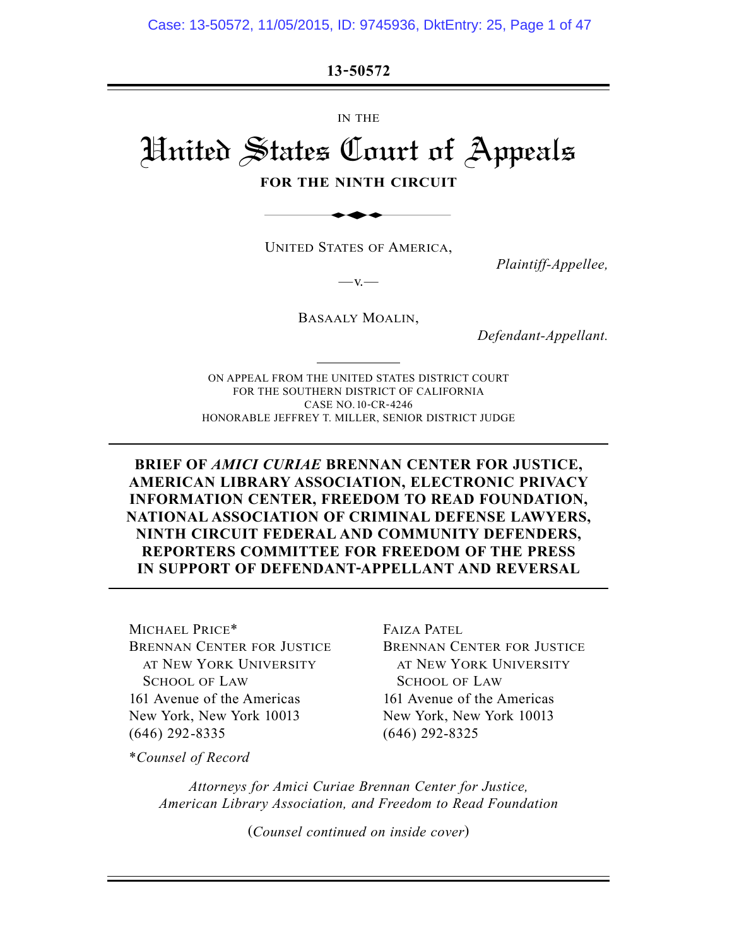**13-50572**

IN THE

# United States Court of Appeals IS 30372

**FOR THE NINTH CIRCUIT**

UNITED STATES OF AMERICA,

*Plaintiff-Appellee,*

BASAALY MOALIN,

 $-v.$ 

*Defendant-Appellant.*

ON APPEAL FROM THE UNITED STATES DISTRICT COURT FOR THE SOUTHERN DISTRICT OF CALIFORNIA CASE NO. 10-CR-4246 HONORABLE JEFFREY T. MILLER, SENIOR DISTRICT JUDGE

**BRIEF OF** *AMICI CURIAE* **BRENNAN CENTER FOR JUSTICE, AMERICAN LIBRARY ASSOCIATION, ELECTRONIC PRIVACY INFORMATION CENTER, FREEDOM TO READ FOUNDATION, NATIONAL ASSOCIATION OF CRIMINAL DEFENSE LAWYERS, NINTH CIRCUIT FEDERAL AND COMMUNITY DEFENDERS, REPORTERS COMMITTEE FOR FREEDOM OF THE PRESS IN SUPPORT OF DEFENDANT-APPELLANT AND REVERSAL**

MICHAEL PRICE\* BRENNAN CENTER FOR JUSTICE AT NEW YORK UNIVERSITY SCHOOL OF LAW 161 Avenue of the Americas New York, New York 10013 (646) 292-8335

FAIZA PATEL BRENNAN CENTER FOR JUSTICE AT NEW YORK UNIVERSITY SCHOOL OF LAW 161 Avenue of the Americas New York, New York 10013 (646) 292-8325

\**Counsel of Record*

*Attorneys for Amici Curiae Brennan Center for Justice, American Library Association, and Freedom to Read Foundation*

(*Counsel continued on inside cover*)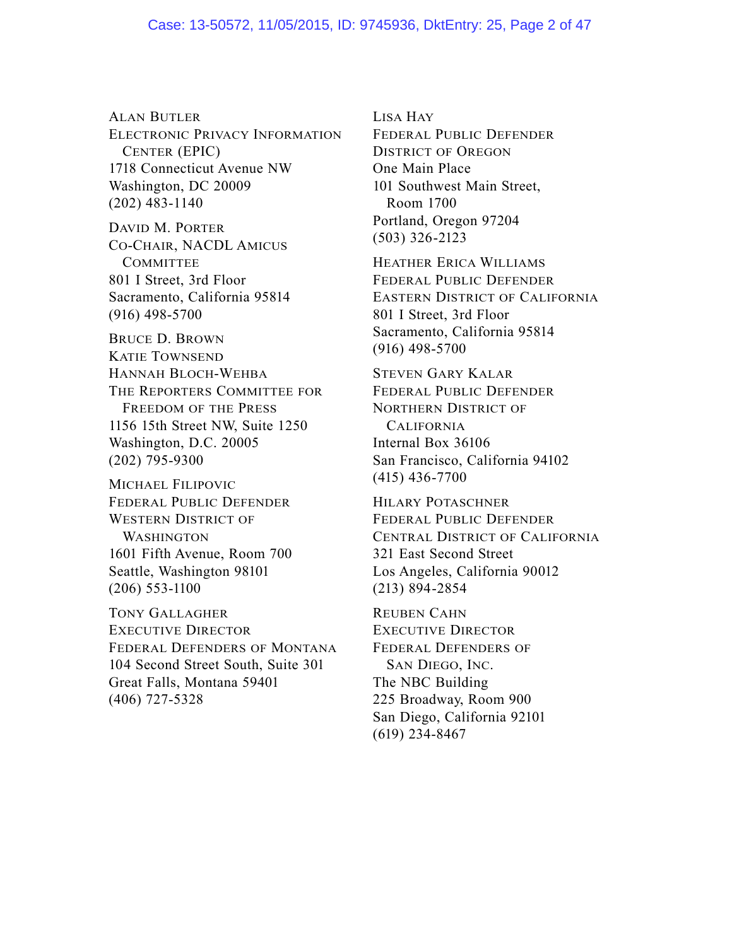ALAN BUTLER ELECTRONIC PRIVACY INFORMATION CENTER (EPIC) 1718 Connecticut Avenue NW Washington, DC 20009 (202) 483-1140

DAVID M. PORTER CO-CHAIR, NACDL AMICUS **COMMITTEE** 801 I Street, 3rd Floor Sacramento, California 95814 (916) 498-5700

BRUCE D. BROWN KATIE TOWNSEND HANNAH BLOCH-WEHBA THE REPORTERS COMMITTEE FOR FREEDOM OF THE PRESS 1156 15th Street NW, Suite 1250 Washington, D.C. 20005 (202) 795-9300

MICHAEL FILIPOVIC FEDERAL PUBLIC DEFENDER WESTERN DISTRICT OF **WASHINGTON** 1601 Fifth Avenue, Room 700 Seattle, Washington 98101 (206) 553-1100

TONY GALLAGHER EXECUTIVE DIRECTOR FEDERAL DEFENDERS OF MONTANA 104 Second Street South, Suite 301 Great Falls, Montana 59401 (406) 727-5328

LISA HAY

FEDERAL PUBLIC DEFENDER DISTRICT OF OREGON One Main Place 101 Southwest Main Street, Room 1700 Portland, Oregon 97204 (503) 326-2123

HEATHER ERICA WILLIAMS FEDERAL PUBLIC DEFENDER EASTERN DISTRICT OF CALIFORNIA 801 I Street, 3rd Floor Sacramento, California 95814 (916) 498-5700

STEVEN GARY KALAR FEDERAL PUBLIC DEFENDER NORTHERN DISTRICT OF CALIFORNIA Internal Box 36106 San Francisco, California 94102 (415) 436-7700

HILARY POTASCHNER FEDERAL PUBLIC DEFENDER CENTRAL DISTRICT OF CALIFORNIA 321 East Second Street Los Angeles, California 90012 (213) 894-2854

REUBEN CAHN EXECUTIVE DIRECTOR FEDERAL DEFENDERS OF SAN DIEGO, INC. The NBC Building 225 Broadway, Room 900 San Diego, California 92101 (619) 234-8467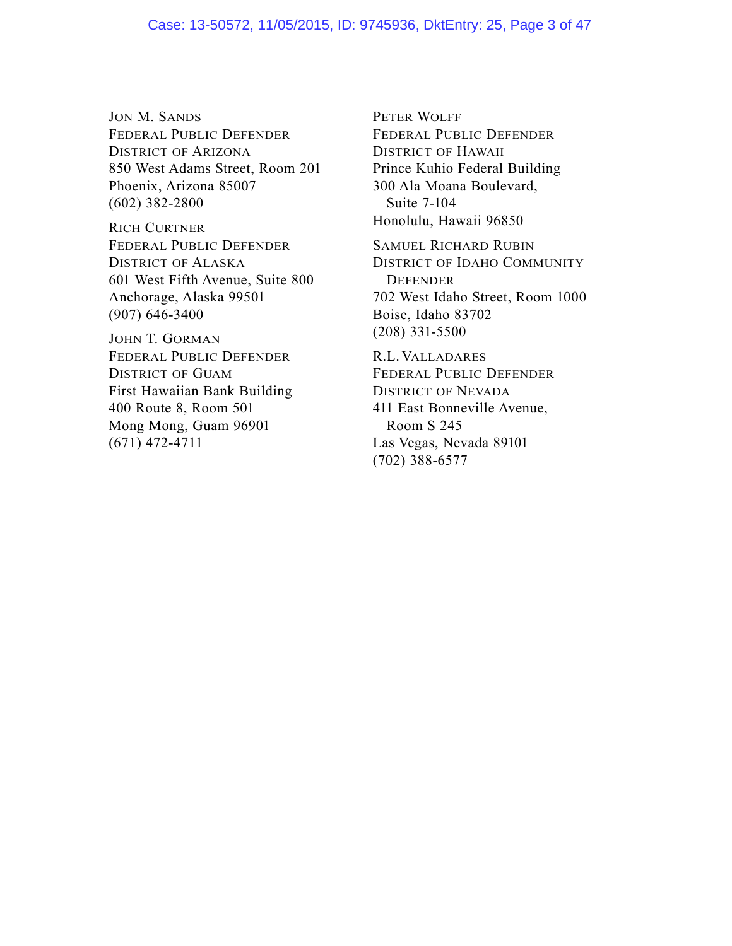JON M. SANDS FEDERAL PUBLIC DEFENDER DISTRICT OF ARIZONA 850 West Adams Street, Room 201 Phoenix, Arizona 85007 (602) 382-2800

RICH CURTNER FEDERAL PUBLIC DEFENDER DISTRICT OF ALASKA 601 West Fifth Avenue, Suite 800 Anchorage, Alaska 99501 (907) 646-3400

JOHN T. GORMAN FEDERAL PUBLIC DEFENDER DISTRICT OF GUAM First Hawaiian Bank Building 400 Route 8, Room 501 Mong Mong, Guam 96901 (671) 472-4711

PETER WOLFF FEDERAL PUBLIC DEFENDER DISTRICT OF HAWAII Prince Kuhio Federal Building 300 Ala Moana Boulevard, Suite 7-104 Honolulu, Hawaii 96850

SAMUEL RICHARD RUBIN DISTRICT OF IDAHO COMMUNITY **DEFENDER** 702 West Idaho Street, Room 1000 Boise, Idaho 83702 (208) 331-5500

R.L. VALLADARES FEDERAL PUBLIC DEFENDER DISTRICT OF NEVADA 411 East Bonneville Avenue, Room S 245 Las Vegas, Nevada 89101 (702) 388-6577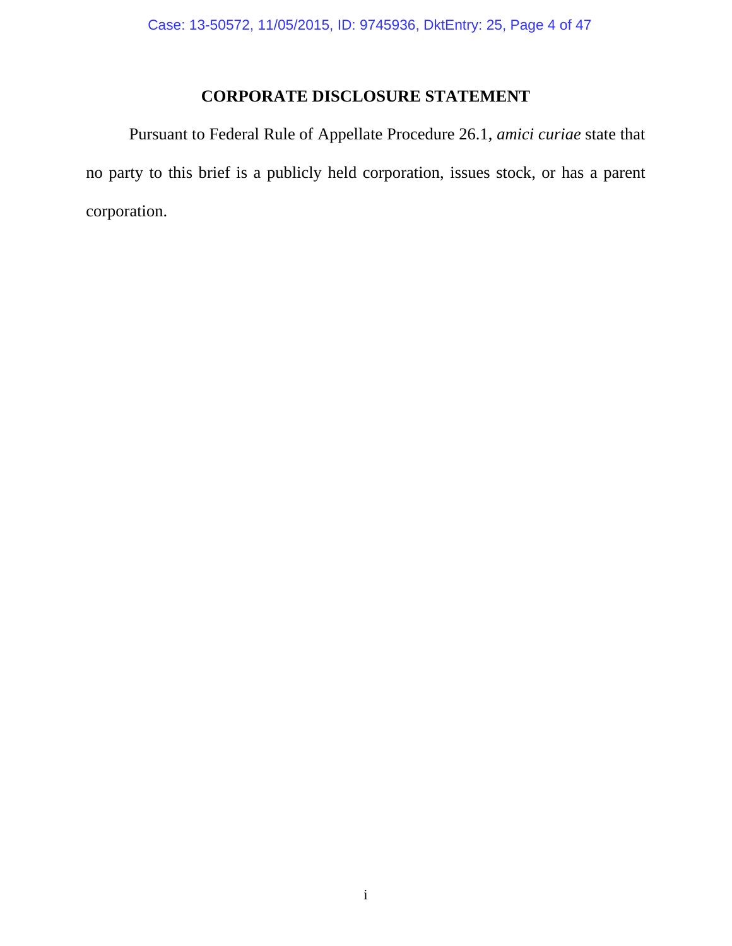# **CORPORATE DISCLOSURE STATEMENT**

 Pursuant to Federal Rule of Appellate Procedure 26.1, *amici curiae* state that no party to this brief is a publicly held corporation, issues stock, or has a parent corporation.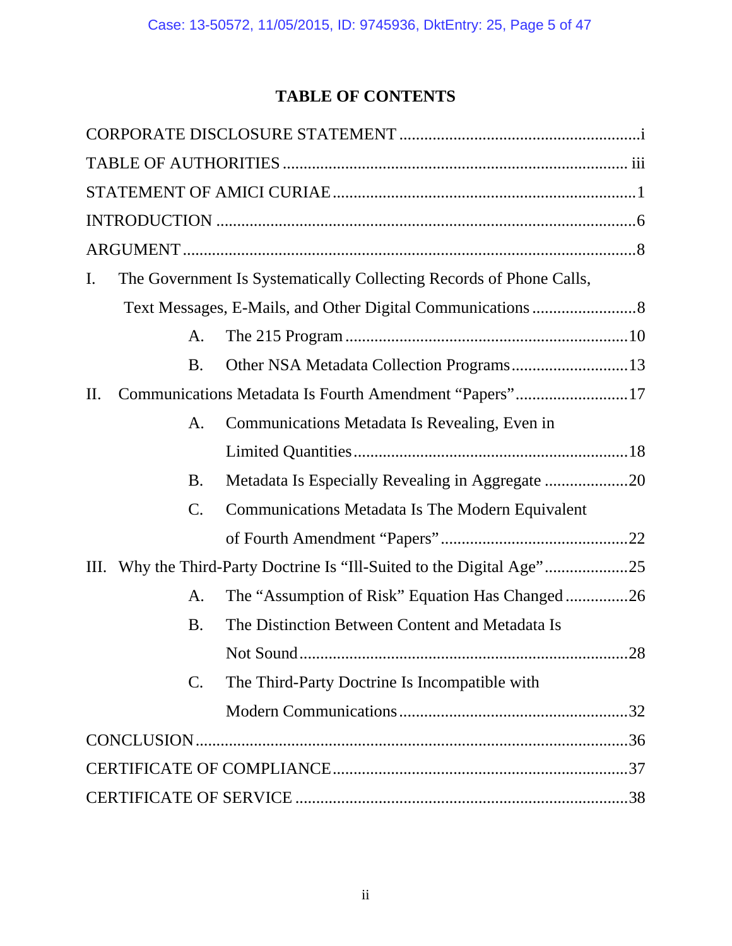# **TABLE OF CONTENTS**

| I.        |                | The Government Is Systematically Collecting Records of Phone Calls, |  |
|-----------|----------------|---------------------------------------------------------------------|--|
|           |                |                                                                     |  |
|           | A.             |                                                                     |  |
|           | <b>B.</b>      | Other NSA Metadata Collection Programs13                            |  |
| $\prod$ . |                | Communications Metadata Is Fourth Amendment "Papers"17              |  |
|           | A.             | Communications Metadata Is Revealing, Even in                       |  |
|           |                |                                                                     |  |
|           | <b>B.</b>      |                                                                     |  |
|           | $\mathsf{C}.$  | Communications Metadata Is The Modern Equivalent                    |  |
|           |                |                                                                     |  |
|           |                |                                                                     |  |
|           | A.             | The "Assumption of Risk" Equation Has Changed26                     |  |
|           | <b>B.</b>      | The Distinction Between Content and Metadata Is                     |  |
|           |                |                                                                     |  |
|           | $\mathbf{C}$ . | The Third-Party Doctrine Is Incompatible with                       |  |
|           |                |                                                                     |  |
|           |                |                                                                     |  |
|           |                |                                                                     |  |
|           |                |                                                                     |  |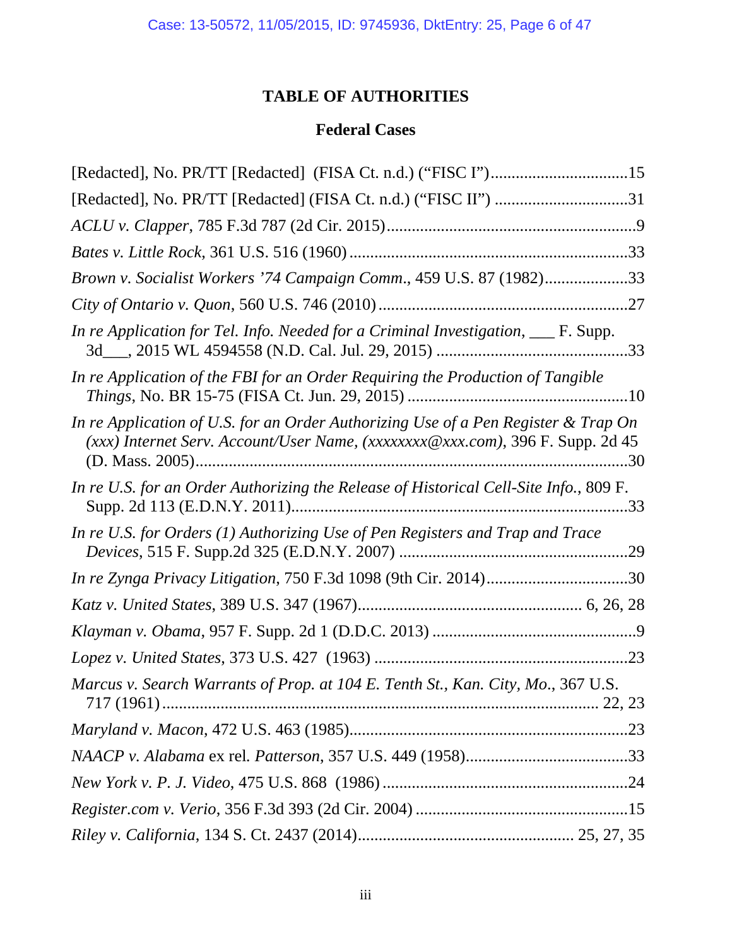# **TABLE OF AUTHORITIES**

# **Federal Cases**

| [Redacted], No. PR/TT [Redacted] (FISA Ct. n.d.) ("FISC II") 31                                                                                                      |
|----------------------------------------------------------------------------------------------------------------------------------------------------------------------|
|                                                                                                                                                                      |
|                                                                                                                                                                      |
| Brown v. Socialist Workers '74 Campaign Comm., 459 U.S. 87 (1982)33                                                                                                  |
|                                                                                                                                                                      |
| In re Application for Tel. Info. Needed for a Criminal Investigation, ___ F. Supp.                                                                                   |
| In re Application of the FBI for an Order Requiring the Production of Tangible                                                                                       |
| In re Application of U.S. for an Order Authorizing Use of a Pen Register & Trap On<br>(xxx) Internet Serv. Account/User Name, (xxxxxxxx@xxx.com), 396 F. Supp. 2d 45 |
| In re U.S. for an Order Authorizing the Release of Historical Cell-Site Info., 809 F.                                                                                |
| In re U.S. for Orders (1) Authorizing Use of Pen Registers and Trap and Trace                                                                                        |
|                                                                                                                                                                      |
|                                                                                                                                                                      |
|                                                                                                                                                                      |
|                                                                                                                                                                      |
| Marcus v. Search Warrants of Prop. at 104 E. Tenth St., Kan. City, Mo., 367 U.S.                                                                                     |
|                                                                                                                                                                      |
|                                                                                                                                                                      |
|                                                                                                                                                                      |
|                                                                                                                                                                      |
|                                                                                                                                                                      |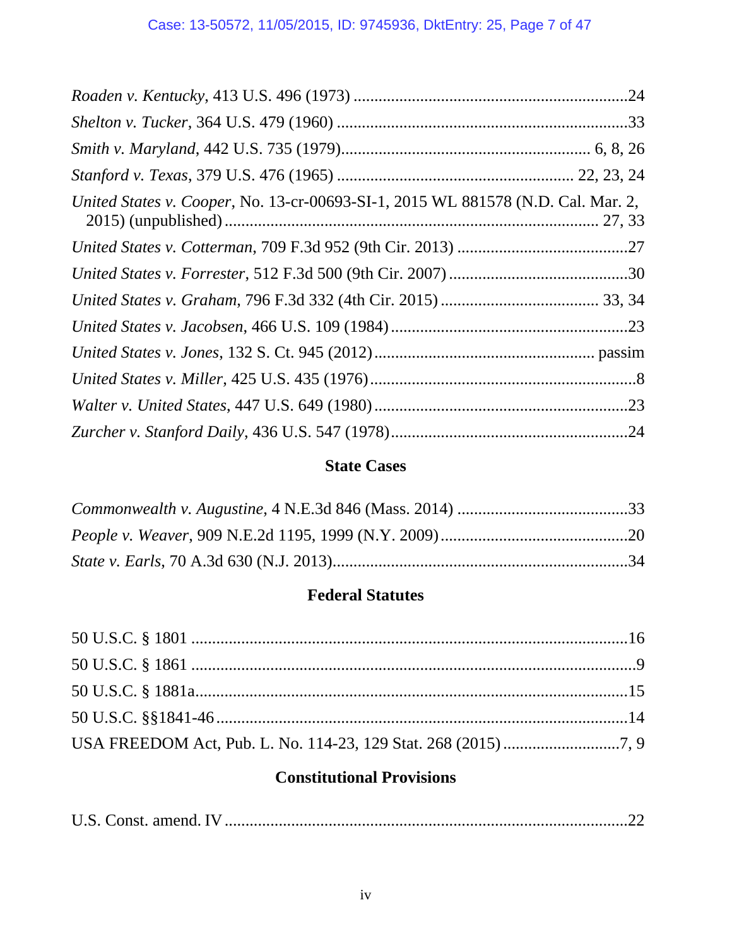| United States v. Cooper, No. 13-cr-00693-SI-1, 2015 WL 881578 (N.D. Cal. Mar. 2, |  |
|----------------------------------------------------------------------------------|--|
|                                                                                  |  |
|                                                                                  |  |
|                                                                                  |  |
|                                                                                  |  |
|                                                                                  |  |
|                                                                                  |  |
|                                                                                  |  |
|                                                                                  |  |

# **State Cases**

# **Federal Statutes**

# **Constitutional Provisions**

|--|--|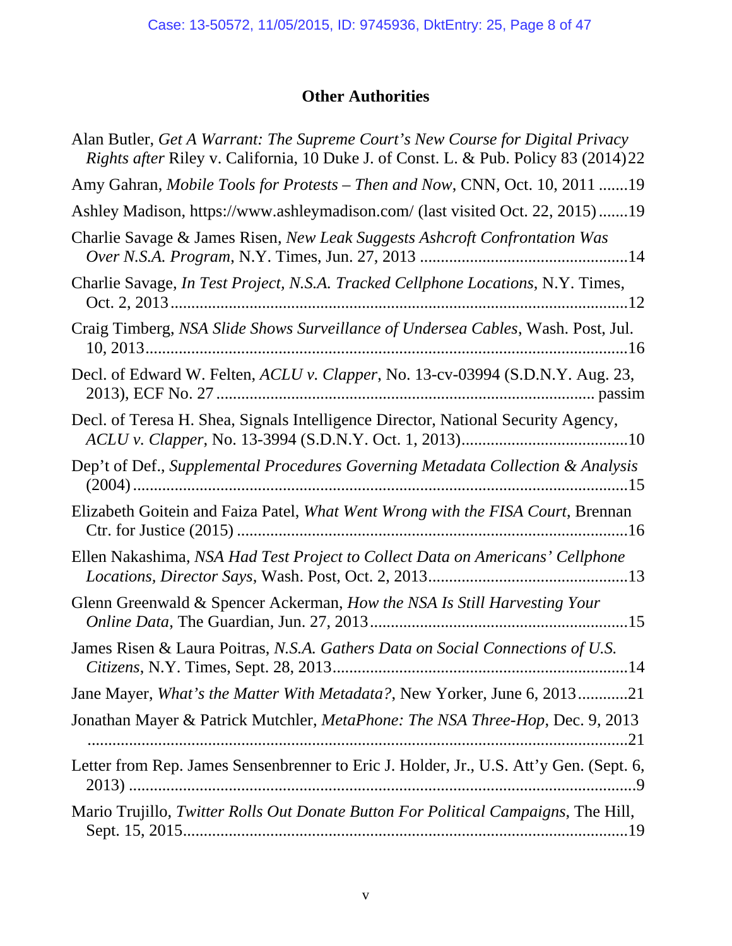# **Other Authorities**

| Alan Butler, Get A Warrant: The Supreme Court's New Course for Digital Privacy<br><i>Rights after Riley v. California, 10 Duke J. of Const. L. &amp; Pub. Policy 83 (2014)22</i> |
|----------------------------------------------------------------------------------------------------------------------------------------------------------------------------------|
| Amy Gahran, Mobile Tools for Protests - Then and Now, CNN, Oct. 10, 2011 19                                                                                                      |
| Ashley Madison, https://www.ashleymadison.com/ (last visited Oct. 22, 2015)19                                                                                                    |
| Charlie Savage & James Risen, New Leak Suggests Ashcroft Confrontation Was                                                                                                       |
| Charlie Savage, In Test Project, N.S.A. Tracked Cellphone Locations, N.Y. Times,                                                                                                 |
| Craig Timberg, NSA Slide Shows Surveillance of Undersea Cables, Wash. Post, Jul.                                                                                                 |
| Decl. of Edward W. Felten, ACLU v. Clapper, No. 13-cv-03994 (S.D.N.Y. Aug. 23,                                                                                                   |
| Decl. of Teresa H. Shea, Signals Intelligence Director, National Security Agency,                                                                                                |
| Dep't of Def., Supplemental Procedures Governing Metadata Collection & Analysis                                                                                                  |
| Elizabeth Goitein and Faiza Patel, What Went Wrong with the FISA Court, Brennan                                                                                                  |
| Ellen Nakashima, NSA Had Test Project to Collect Data on Americans' Cellphone                                                                                                    |
| Glenn Greenwald & Spencer Ackerman, How the NSA Is Still Harvesting Your                                                                                                         |
| James Risen & Laura Poitras, N.S.A. Gathers Data on Social Connections of U.S.                                                                                                   |
| Jane Mayer, What's the Matter With Metadata?, New Yorker, June 6, 201321                                                                                                         |
| Jonathan Mayer & Patrick Mutchler, MetaPhone: The NSA Three-Hop, Dec. 9, 2013                                                                                                    |
| Letter from Rep. James Sensenbrenner to Eric J. Holder, Jr., U.S. Att'y Gen. (Sept. 6,                                                                                           |
| Mario Trujillo, Twitter Rolls Out Donate Button For Political Campaigns, The Hill,                                                                                               |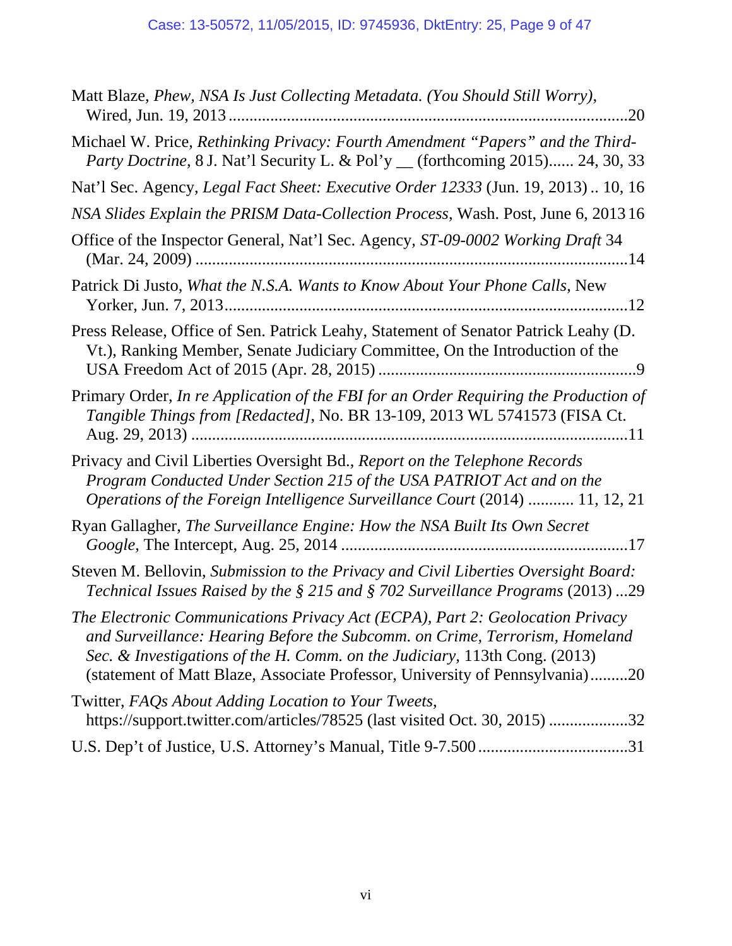| Matt Blaze, Phew, NSA Is Just Collecting Metadata. (You Should Still Worry),                                                                                                                                                                                                                                               |
|----------------------------------------------------------------------------------------------------------------------------------------------------------------------------------------------------------------------------------------------------------------------------------------------------------------------------|
| Michael W. Price, Rethinking Privacy: Fourth Amendment "Papers" and the Third-<br>Party Doctrine, 8 J. Nat'l Security L. & Pol'y _ (forthcoming 2015) 24, 30, 33                                                                                                                                                           |
| Nat'l Sec. Agency, Legal Fact Sheet: Executive Order 12333 (Jun. 19, 2013) 10, 16                                                                                                                                                                                                                                          |
| NSA Slides Explain the PRISM Data-Collection Process, Wash. Post, June 6, 2013 16                                                                                                                                                                                                                                          |
| Office of the Inspector General, Nat'l Sec. Agency, ST-09-0002 Working Draft 34                                                                                                                                                                                                                                            |
| Patrick Di Justo, What the N.S.A. Wants to Know About Your Phone Calls, New                                                                                                                                                                                                                                                |
| Press Release, Office of Sen. Patrick Leahy, Statement of Senator Patrick Leahy (D.<br>Vt.), Ranking Member, Senate Judiciary Committee, On the Introduction of the                                                                                                                                                        |
| Primary Order, In re Application of the FBI for an Order Requiring the Production of<br>Tangible Things from [Redacted], No. BR 13-109, 2013 WL 5741573 (FISA Ct.                                                                                                                                                          |
| Privacy and Civil Liberties Oversight Bd., Report on the Telephone Records<br>Program Conducted Under Section 215 of the USA PATRIOT Act and on the<br>Operations of the Foreign Intelligence Surveillance Court (2014)  11, 12, 21                                                                                        |
| Ryan Gallagher, The Surveillance Engine: How the NSA Built Its Own Secret                                                                                                                                                                                                                                                  |
| Steven M. Bellovin, Submission to the Privacy and Civil Liberties Oversight Board:<br>Technical Issues Raised by the § 215 and § 702 Surveillance Programs (2013) 29                                                                                                                                                       |
| The Electronic Communications Privacy Act (ECPA), Part 2: Geolocation Privacy<br>and Surveillance: Hearing Before the Subcomm. on Crime, Terrorism, Homeland<br>Sec. & Investigations of the H. Comm. on the Judiciary, 113th Cong. (2013)<br>(statement of Matt Blaze, Associate Professor, University of Pennsylvania)20 |
| Twitter, FAQs About Adding Location to Your Tweets,<br>https://support.twitter.com/articles/78525 (last visited Oct. 30, 2015) 32                                                                                                                                                                                          |
|                                                                                                                                                                                                                                                                                                                            |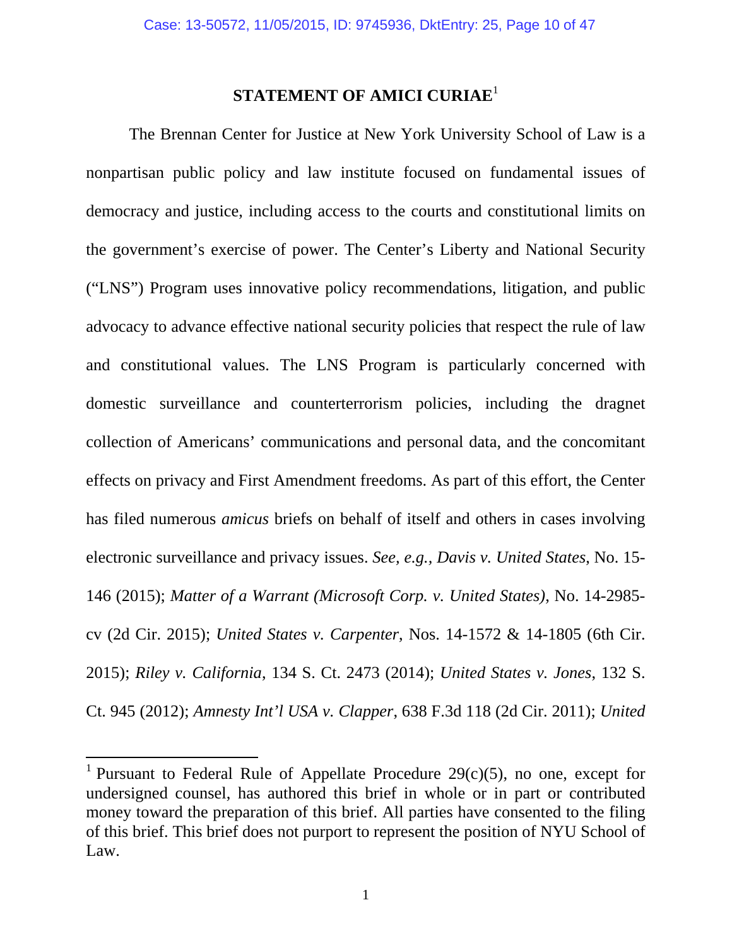# **STATEMENT OF AMICI CURIAE**<sup>1</sup>

The Brennan Center for Justice at New York University School of Law is a nonpartisan public policy and law institute focused on fundamental issues of democracy and justice, including access to the courts and constitutional limits on the government's exercise of power. The Center's Liberty and National Security ("LNS") Program uses innovative policy recommendations, litigation, and public advocacy to advance effective national security policies that respect the rule of law and constitutional values. The LNS Program is particularly concerned with domestic surveillance and counterterrorism policies, including the dragnet collection of Americans' communications and personal data, and the concomitant effects on privacy and First Amendment freedoms. As part of this effort, the Center has filed numerous *amicus* briefs on behalf of itself and others in cases involving electronic surveillance and privacy issues. *See, e.g., Davis v. United States*, No. 15- 146 (2015); *Matter of a Warrant (Microsoft Corp. v. United States)*, No. 14-2985 cv (2d Cir. 2015); *United States v. Carpenter*, Nos. 14-1572 & 14-1805 (6th Cir. 2015); *Riley v. California*, 134 S. Ct. 2473 (2014); *United States v. Jones*, 132 S. Ct. 945 (2012); *Amnesty Int'l USA v. Clapper*, 638 F.3d 118 (2d Cir. 2011); *United* 

<sup>&</sup>lt;sup>1</sup> Pursuant to Federal Rule of Appellate Procedure  $29(c)(5)$ , no one, except for undersigned counsel, has authored this brief in whole or in part or contributed money toward the preparation of this brief. All parties have consented to the filing of this brief. This brief does not purport to represent the position of NYU School of Law.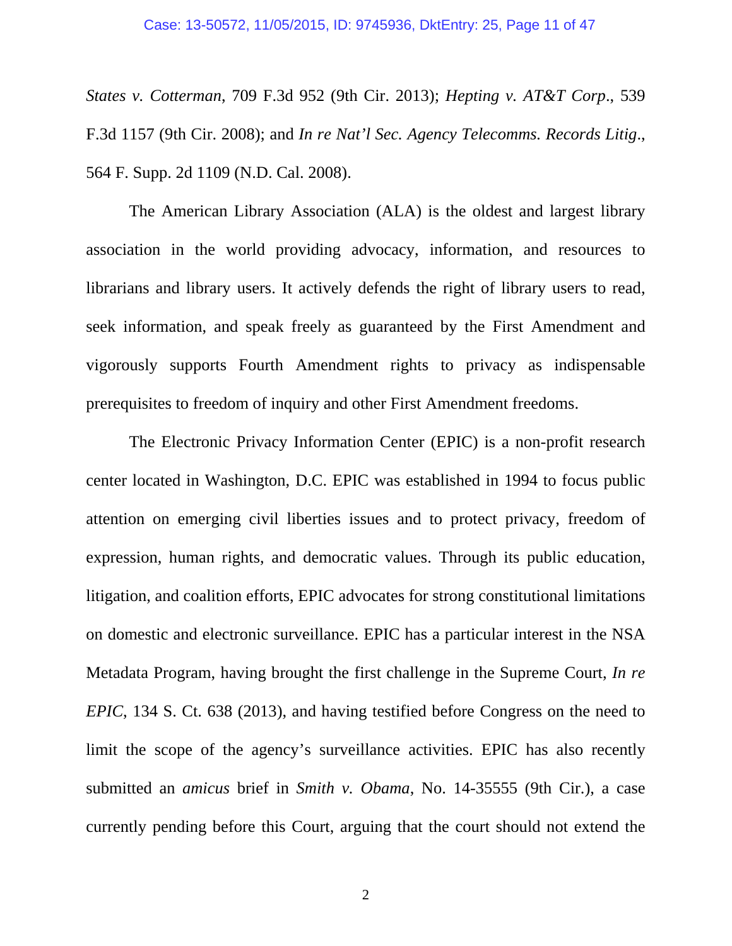*States v. Cotterman*, 709 F.3d 952 (9th Cir. 2013); *Hepting v. AT&T Corp*., 539 F.3d 1157 (9th Cir. 2008); and *In re Nat'l Sec. Agency Telecomms. Records Litig*., 564 F. Supp. 2d 1109 (N.D. Cal. 2008).

The American Library Association (ALA) is the oldest and largest library association in the world providing advocacy, information, and resources to librarians and library users. It actively defends the right of library users to read, seek information, and speak freely as guaranteed by the First Amendment and vigorously supports Fourth Amendment rights to privacy as indispensable prerequisites to freedom of inquiry and other First Amendment freedoms.

The Electronic Privacy Information Center (EPIC) is a non-profit research center located in Washington, D.C. EPIC was established in 1994 to focus public attention on emerging civil liberties issues and to protect privacy, freedom of expression, human rights, and democratic values. Through its public education, litigation, and coalition efforts, EPIC advocates for strong constitutional limitations on domestic and electronic surveillance. EPIC has a particular interest in the NSA Metadata Program, having brought the first challenge in the Supreme Court, *In re EPIC*, 134 S. Ct. 638 (2013), and having testified before Congress on the need to limit the scope of the agency's surveillance activities. EPIC has also recently submitted an *amicus* brief in *Smith v. Obama*, No. 14-35555 (9th Cir.), a case currently pending before this Court, arguing that the court should not extend the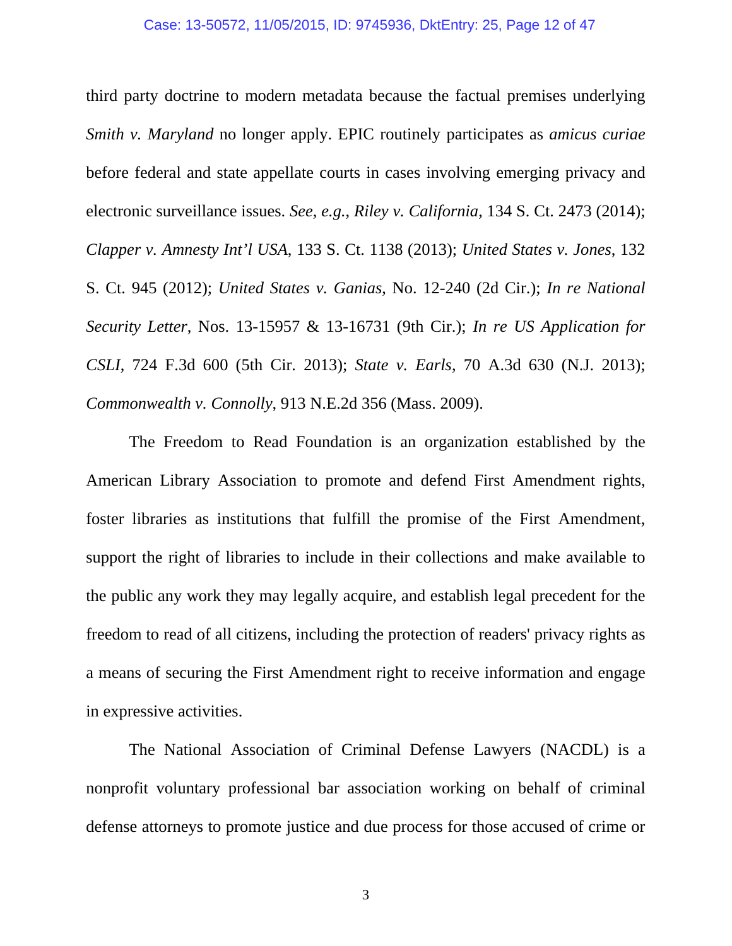third party doctrine to modern metadata because the factual premises underlying *Smith v. Maryland* no longer apply. EPIC routinely participates as *amicus curiae* before federal and state appellate courts in cases involving emerging privacy and electronic surveillance issues. *See*, *e.g.*, *Riley v. California*, 134 S. Ct. 2473 (2014); *Clapper v. Amnesty Int'l USA*, 133 S. Ct. 1138 (2013); *United States v. Jones*, 132 S. Ct. 945 (2012); *United States v. Ganias*, No. 12-240 (2d Cir.); *In re National Security Letter*, Nos. 13-15957 & 13-16731 (9th Cir.); *In re US Application for CSLI*, 724 F.3d 600 (5th Cir. 2013); *State v. Earls*, 70 A.3d 630 (N.J. 2013); *Commonwealth v. Connolly*, 913 N.E.2d 356 (Mass. 2009).

The Freedom to Read Foundation is an organization established by the American Library Association to promote and defend First Amendment rights, foster libraries as institutions that fulfill the promise of the First Amendment, support the right of libraries to include in their collections and make available to the public any work they may legally acquire, and establish legal precedent for the freedom to read of all citizens, including the protection of readers' privacy rights as a means of securing the First Amendment right to receive information and engage in expressive activities.

The National Association of Criminal Defense Lawyers (NACDL) is a nonprofit voluntary professional bar association working on behalf of criminal defense attorneys to promote justice and due process for those accused of crime or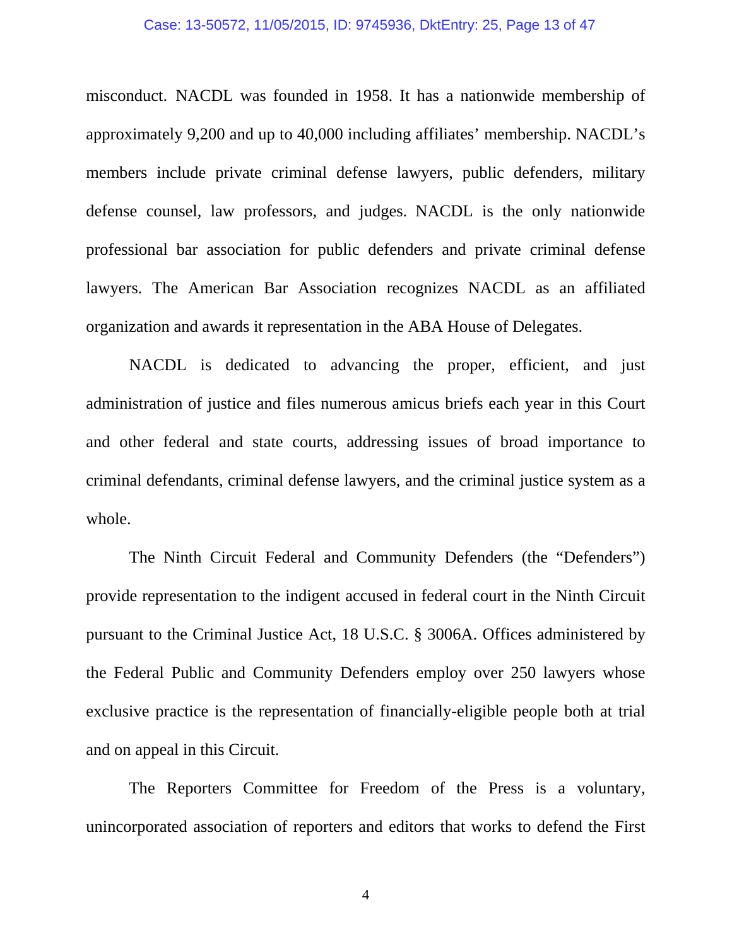#### Case: 13-50572, 11/05/2015, ID: 9745936, DktEntry: 25, Page 13 of 47

misconduct. NACDL was founded in 1958. It has a nationwide membership of approximately 9,200 and up to 40,000 including affiliates' membership. NACDL's members include private criminal defense lawyers, public defenders, military defense counsel, law professors, and judges. NACDL is the only nationwide professional bar association for public defenders and private criminal defense lawyers. The American Bar Association recognizes NACDL as an affiliated organization and awards it representation in the ABA House of Delegates.

NACDL is dedicated to advancing the proper, efficient, and just administration of justice and files numerous amicus briefs each year in this Court and other federal and state courts, addressing issues of broad importance to criminal defendants, criminal defense lawyers, and the criminal justice system as a whole.

The Ninth Circuit Federal and Community Defenders (the "Defenders") provide representation to the indigent accused in federal court in the Ninth Circuit pursuant to the Criminal Justice Act, 18 U.S.C. § 3006A. Offices administered by the Federal Public and Community Defenders employ over 250 lawyers whose exclusive practice is the representation of financially-eligible people both at trial and on appeal in this Circuit.

The Reporters Committee for Freedom of the Press is a voluntary, unincorporated association of reporters and editors that works to defend the First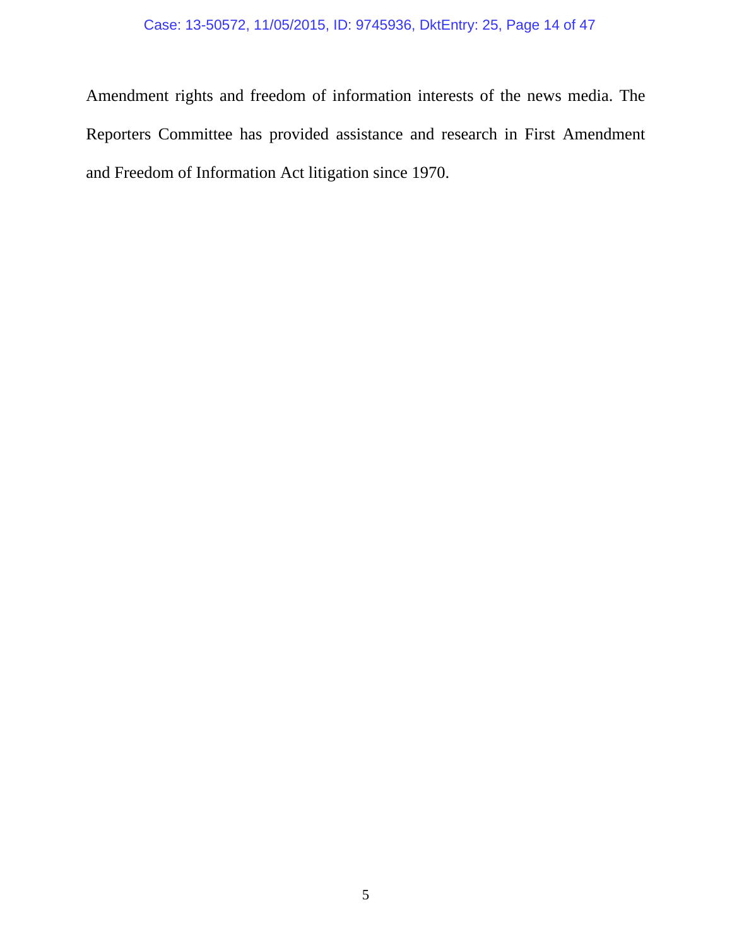## Case: 13-50572, 11/05/2015, ID: 9745936, DktEntry: 25, Page 14 of 47

Amendment rights and freedom of information interests of the news media. The Reporters Committee has provided assistance and research in First Amendment and Freedom of Information Act litigation since 1970.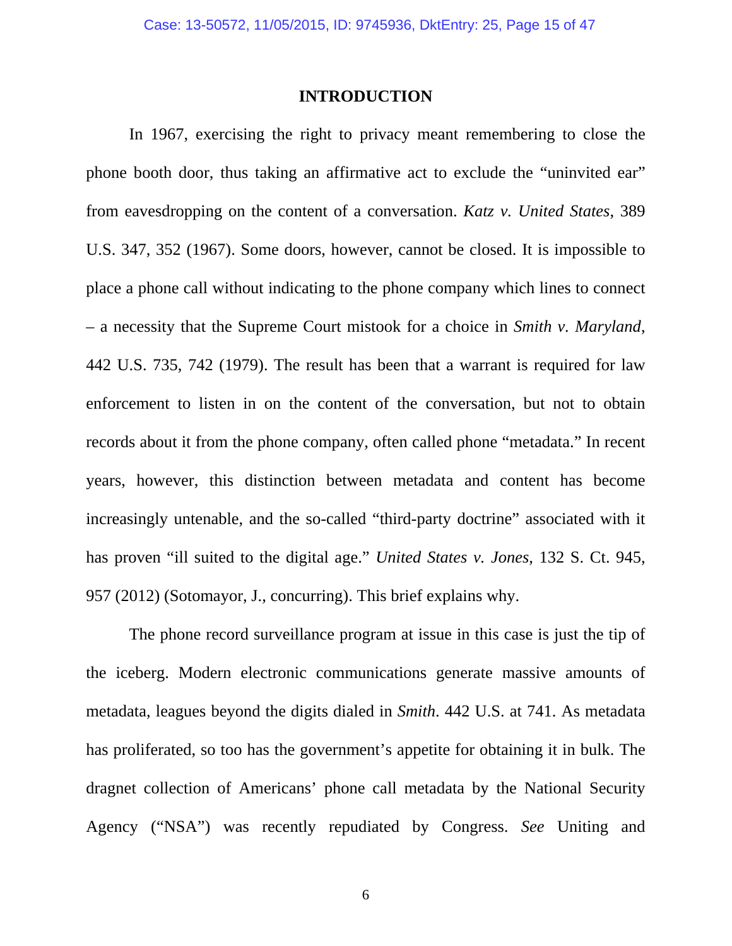## **INTRODUCTION**

In 1967, exercising the right to privacy meant remembering to close the phone booth door, thus taking an affirmative act to exclude the "uninvited ear" from eavesdropping on the content of a conversation. *Katz v. United States*, 389 U.S. 347, 352 (1967). Some doors, however, cannot be closed. It is impossible to place a phone call without indicating to the phone company which lines to connect – a necessity that the Supreme Court mistook for a choice in *Smith v. Maryland*, 442 U.S. 735, 742 (1979). The result has been that a warrant is required for law enforcement to listen in on the content of the conversation, but not to obtain records about it from the phone company, often called phone "metadata." In recent years, however, this distinction between metadata and content has become increasingly untenable, and the so-called "third-party doctrine" associated with it has proven "ill suited to the digital age." *United States v. Jones*, 132 S. Ct. 945, 957 (2012) (Sotomayor, J., concurring). This brief explains why.

The phone record surveillance program at issue in this case is just the tip of the iceberg. Modern electronic communications generate massive amounts of metadata, leagues beyond the digits dialed in *Smith*. 442 U.S. at 741. As metadata has proliferated, so too has the government's appetite for obtaining it in bulk. The dragnet collection of Americans' phone call metadata by the National Security Agency ("NSA") was recently repudiated by Congress. *See* Uniting and

 $\sim$  6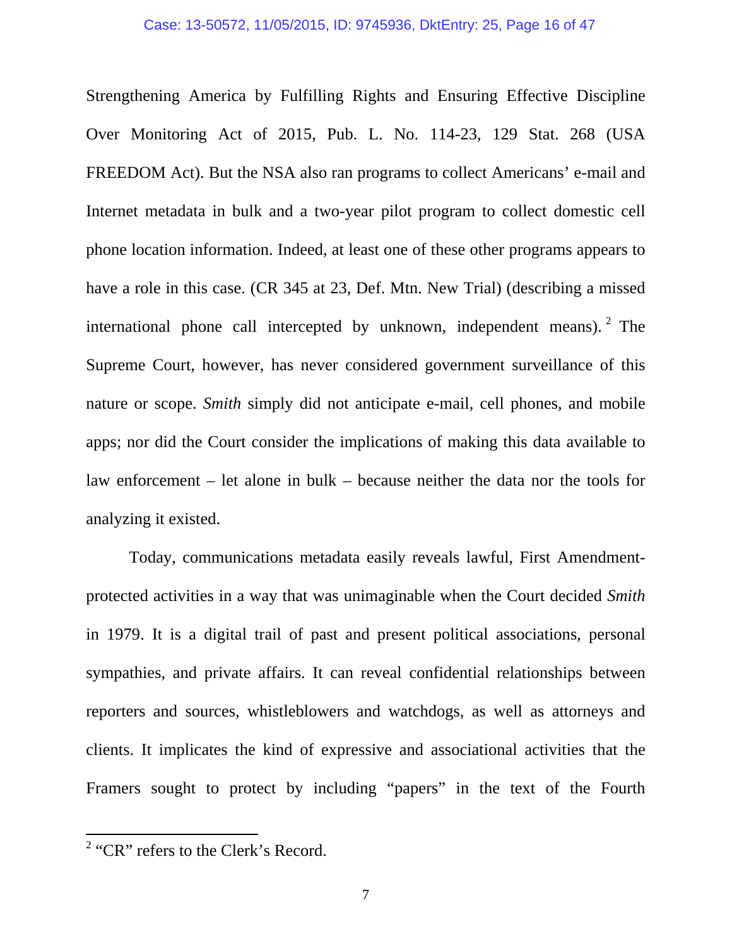Strengthening America by Fulfilling Rights and Ensuring Effective Discipline Over Monitoring Act of 2015, Pub. L. No. 114-23, 129 Stat. 268 (USA FREEDOM Act). But the NSA also ran programs to collect Americans' e-mail and Internet metadata in bulk and a two-year pilot program to collect domestic cell phone location information. Indeed, at least one of these other programs appears to have a role in this case. (CR 345 at 23, Def. Mtn. New Trial) (describing a missed international phone call intercepted by unknown, independent means). <sup>2</sup> The Supreme Court, however, has never considered government surveillance of this nature or scope. *Smith* simply did not anticipate e-mail, cell phones, and mobile apps; nor did the Court consider the implications of making this data available to law enforcement – let alone in bulk – because neither the data nor the tools for analyzing it existed.

Today, communications metadata easily reveals lawful, First Amendmentprotected activities in a way that was unimaginable when the Court decided *Smith*  in 1979. It is a digital trail of past and present political associations, personal sympathies, and private affairs. It can reveal confidential relationships between reporters and sources, whistleblowers and watchdogs, as well as attorneys and clients. It implicates the kind of expressive and associational activities that the Framers sought to protect by including "papers" in the text of the Fourth

 $2$  "CR" refers to the Clerk's Record.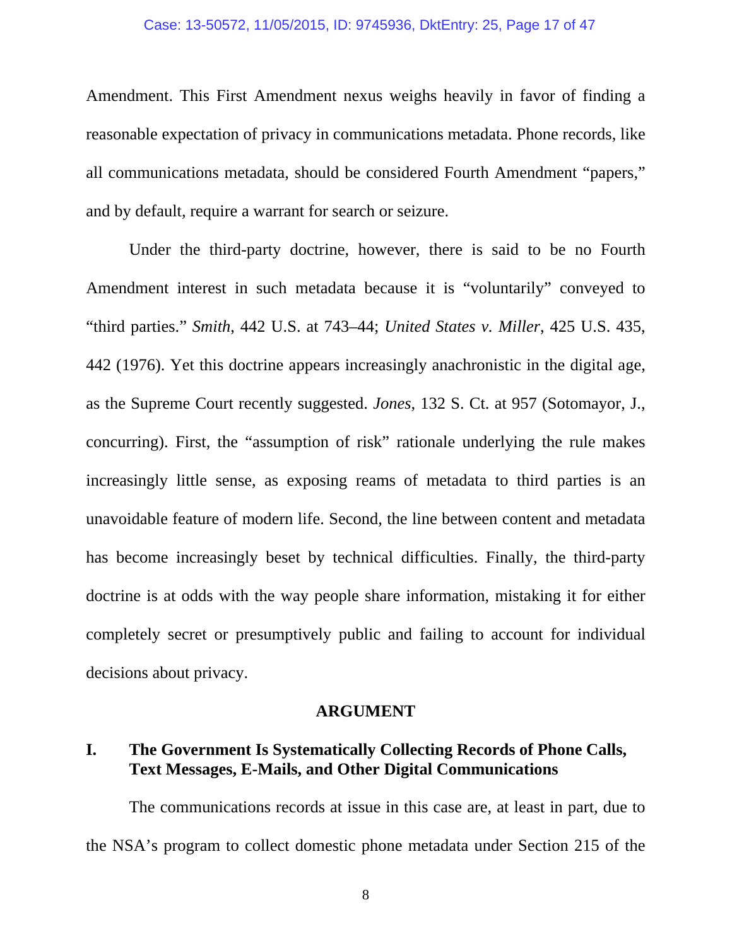#### Case: 13-50572, 11/05/2015, ID: 9745936, DktEntry: 25, Page 17 of 47

Amendment. This First Amendment nexus weighs heavily in favor of finding a reasonable expectation of privacy in communications metadata. Phone records, like all communications metadata, should be considered Fourth Amendment "papers," and by default, require a warrant for search or seizure.

Under the third-party doctrine, however, there is said to be no Fourth Amendment interest in such metadata because it is "voluntarily" conveyed to "third parties." *Smith*, 442 U.S. at 743–44; *United States v. Miller*, 425 U.S. 435, 442 (1976). Yet this doctrine appears increasingly anachronistic in the digital age, as the Supreme Court recently suggested. *Jones*, 132 S. Ct. at 957 (Sotomayor, J., concurring). First, the "assumption of risk" rationale underlying the rule makes increasingly little sense, as exposing reams of metadata to third parties is an unavoidable feature of modern life. Second, the line between content and metadata has become increasingly beset by technical difficulties. Finally, the third-party doctrine is at odds with the way people share information, mistaking it for either completely secret or presumptively public and failing to account for individual decisions about privacy.

### **ARGUMENT**

## **I. The Government Is Systematically Collecting Records of Phone Calls, Text Messages, E-Mails, and Other Digital Communications**

 The communications records at issue in this case are, at least in part, due to the NSA's program to collect domestic phone metadata under Section 215 of the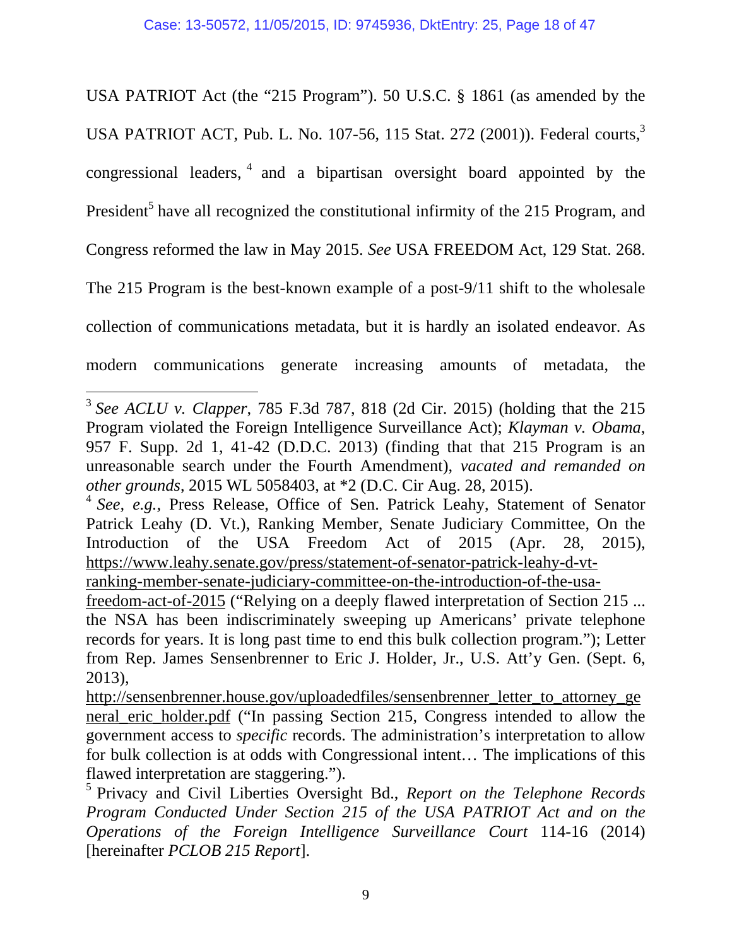USA PATRIOT Act (the "215 Program"). 50 U.S.C. § 1861 (as amended by the USA PATRIOT ACT, Pub. L. No. 107-56, 115 Stat. 272 (2001)). Federal courts,<sup>3</sup> congressional leaders,  $\frac{4}{3}$  and a bipartisan oversight board appointed by the President<sup>5</sup> have all recognized the constitutional infirmity of the 215 Program, and Congress reformed the law in May 2015. *See* USA FREEDOM Act, 129 Stat. 268. The 215 Program is the best-known example of a post-9/11 shift to the wholesale collection of communications metadata, but it is hardly an isolated endeavor. As modern communications generate increasing amounts of metadata, the

<sup>3</sup> *See ACLU v. Clapper*, 785 F.3d 787, 818 (2d Cir. 2015) (holding that the 215 Program violated the Foreign Intelligence Surveillance Act); *Klayman v. Obama*, 957 F. Supp. 2d 1, 41-42 (D.D.C. 2013) (finding that that 215 Program is an unreasonable search under the Fourth Amendment), *vacated and remanded on other grounds*, 2015 WL 5058403, at \*2 (D.C. Cir Aug. 28, 2015).

<sup>4</sup> *See, e.g.,* Press Release, Office of Sen. Patrick Leahy, Statement of Senator Patrick Leahy (D. Vt.), Ranking Member, Senate Judiciary Committee, On the Introduction of the USA Freedom Act of 2015 (Apr. 28, 2015), https://www.leahy.senate.gov/press/statement-of-senator-patrick-leahy-d-vt-

ranking-member-senate-judiciary-committee-on-the-introduction-of-the-usa-

freedom-act-of-2015 ("Relying on a deeply flawed interpretation of Section 215 ... the NSA has been indiscriminately sweeping up Americans' private telephone records for years. It is long past time to end this bulk collection program."); Letter from Rep. James Sensenbrenner to Eric J. Holder, Jr., U.S. Att'y Gen. (Sept. 6, 2013),

http://sensenbrenner.house.gov/uploadedfiles/sensenbrenner\_letter\_to\_attorney\_ge neral\_eric\_holder.pdf ("In passing Section 215, Congress intended to allow the government access to *specific* records. The administration's interpretation to allow for bulk collection is at odds with Congressional intent… The implications of this flawed interpretation are staggering.").

<sup>5</sup> Privacy and Civil Liberties Oversight Bd., *Report on the Telephone Records Program Conducted Under Section 215 of the USA PATRIOT Act and on the Operations of the Foreign Intelligence Surveillance Court* 114-16 (2014) [hereinafter *PCLOB 215 Report*].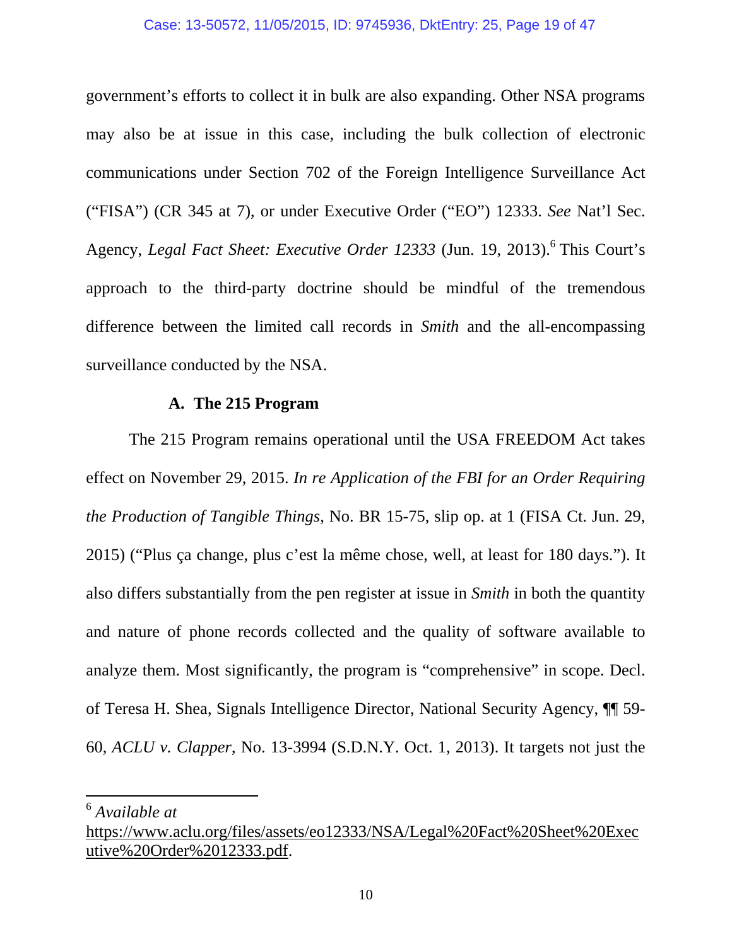#### Case: 13-50572, 11/05/2015, ID: 9745936, DktEntry: 25, Page 19 of 47

government's efforts to collect it in bulk are also expanding. Other NSA programs may also be at issue in this case, including the bulk collection of electronic communications under Section 702 of the Foreign Intelligence Surveillance Act ("FISA") (CR 345 at 7), or under Executive Order ("EO") 12333. *See* Nat'l Sec. Agency, *Legal Fact Sheet: Executive Order 12333* (Jun. 19, 2013).<sup>6</sup> This Court's approach to the third-party doctrine should be mindful of the tremendous difference between the limited call records in *Smith* and the all-encompassing surveillance conducted by the NSA.

### **A. The 215 Program**

The 215 Program remains operational until the USA FREEDOM Act takes effect on November 29, 2015. *In re Application of the FBI for an Order Requiring the Production of Tangible Things*, No. BR 15-75, slip op. at 1 (FISA Ct. Jun. 29, 2015) ("Plus ça change, plus c'est la même chose, well, at least for 180 days."). It also differs substantially from the pen register at issue in *Smith* in both the quantity and nature of phone records collected and the quality of software available to analyze them. Most significantly, the program is "comprehensive" in scope. Decl. of Teresa H. Shea, Signals Intelligence Director, National Security Agency, ¶¶ 59- 60, *ACLU v. Clapper*, No. 13-3994 (S.D.N.Y. Oct. 1, 2013). It targets not just the

<sup>6</sup> *Available at*

https://www.aclu.org/files/assets/eo12333/NSA/Legal%20Fact%20Sheet%20Exec utive%20Order%2012333.pdf.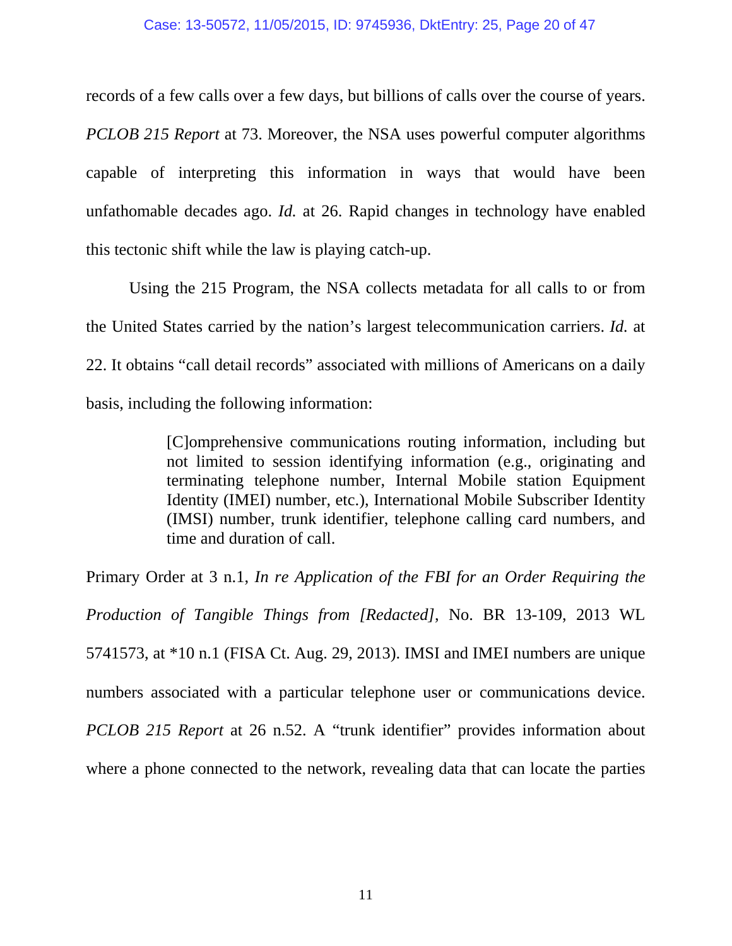records of a few calls over a few days, but billions of calls over the course of years. *PCLOB 215 Report* at 73. Moreover, the NSA uses powerful computer algorithms capable of interpreting this information in ways that would have been unfathomable decades ago. *Id.* at 26. Rapid changes in technology have enabled this tectonic shift while the law is playing catch-up.

Using the 215 Program, the NSA collects metadata for all calls to or from the United States carried by the nation's largest telecommunication carriers. *Id.* at 22. It obtains "call detail records" associated with millions of Americans on a daily basis, including the following information:

> [C]omprehensive communications routing information, including but not limited to session identifying information (e.g., originating and terminating telephone number, Internal Mobile station Equipment Identity (IMEI) number, etc.), International Mobile Subscriber Identity (IMSI) number, trunk identifier, telephone calling card numbers, and time and duration of call.

Primary Order at 3 n.1, *In re Application of the FBI for an Order Requiring the Production of Tangible Things from [Redacted]*, No. BR 13-109, 2013 WL 5741573, at \*10 n.1 (FISA Ct. Aug. 29, 2013). IMSI and IMEI numbers are unique numbers associated with a particular telephone user or communications device. *PCLOB 215 Report* at 26 n.52. A "trunk identifier" provides information about where a phone connected to the network, revealing data that can locate the parties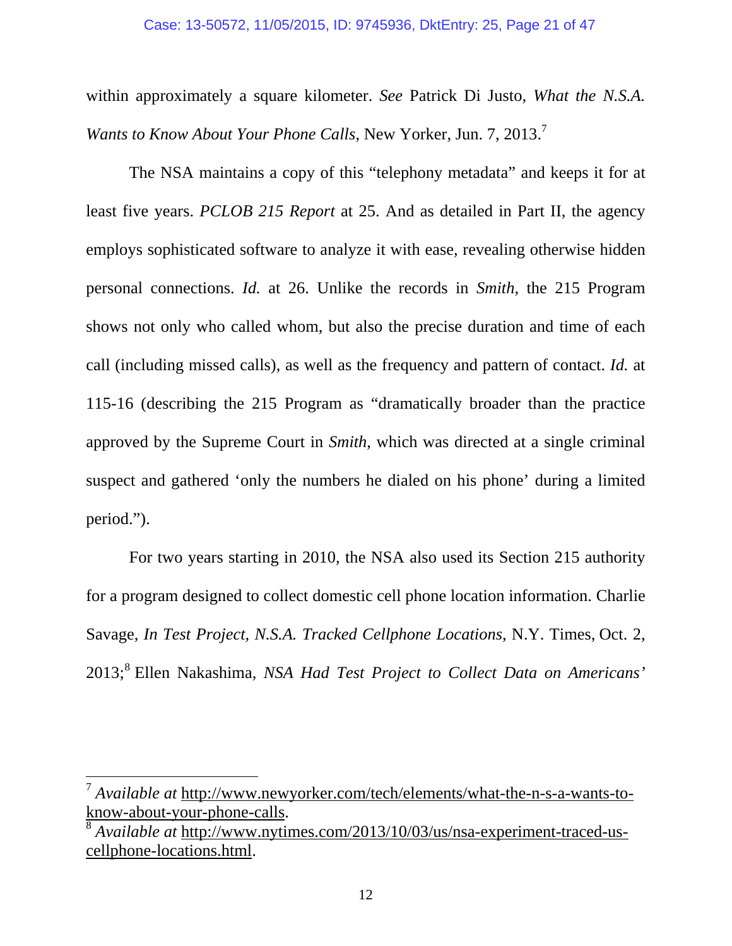#### Case: 13-50572, 11/05/2015, ID: 9745936, DktEntry: 25, Page 21 of 47

within approximately a square kilometer. *See* Patrick Di Justo, *What the N.S.A. Wants to Know About Your Phone Calls, New Yorker, Jun. 7, 2013.*<sup>7</sup>

The NSA maintains a copy of this "telephony metadata" and keeps it for at least five years. *PCLOB 215 Report* at 25. And as detailed in Part II, the agency employs sophisticated software to analyze it with ease, revealing otherwise hidden personal connections. *Id.* at 26. Unlike the records in *Smith*, the 215 Program shows not only who called whom, but also the precise duration and time of each call (including missed calls), as well as the frequency and pattern of contact. *Id.* at 115-16 (describing the 215 Program as "dramatically broader than the practice approved by the Supreme Court in *Smith*, which was directed at a single criminal suspect and gathered 'only the numbers he dialed on his phone' during a limited period.").

For two years starting in 2010, the NSA also used its Section 215 authority for a program designed to collect domestic cell phone location information. Charlie Savage, *In Test Project, N.S.A. Tracked Cellphone Locations*, N.Y. Times, Oct. 2, 2013;<sup>8</sup> Ellen Nakashima, *NSA Had Test Project to Collect Data on Americans'* 

<sup>7</sup> *Available at* http://www.newyorker.com/tech/elements/what-the-n-s-a-wants-toknow-about-your-phone-calls.

<sup>8</sup> *Available at* http://www.nytimes.com/2013/10/03/us/nsa-experiment-traced-uscellphone-locations.html.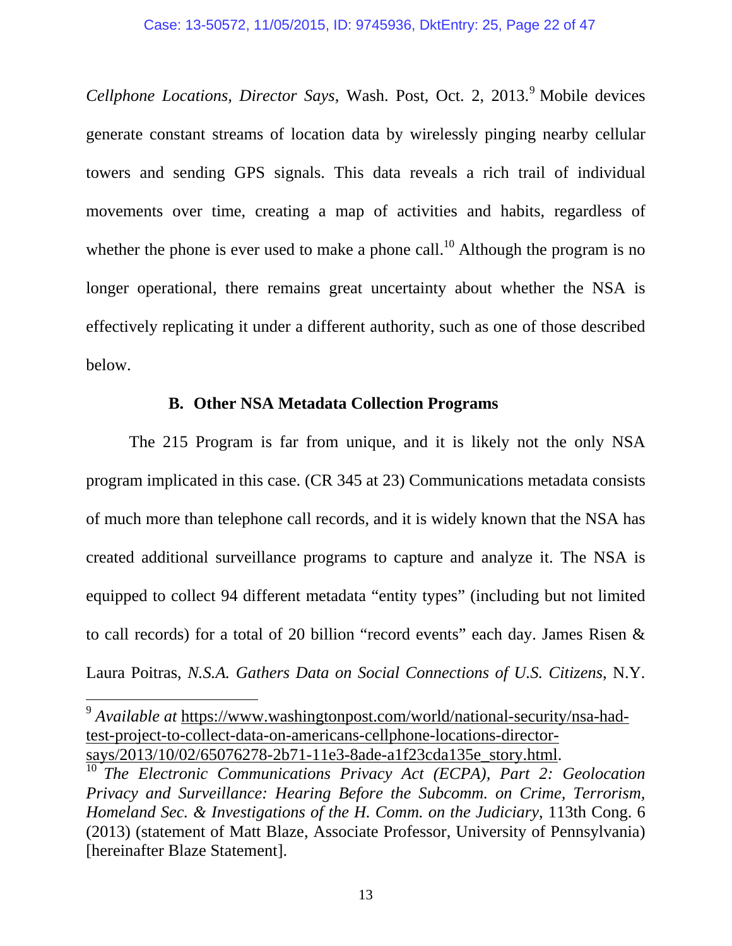Cellphone Locations, Director Says, Wash. Post, Oct. 2, 2013.<sup>9</sup> Mobile devices generate constant streams of location data by wirelessly pinging nearby cellular towers and sending GPS signals. This data reveals a rich trail of individual movements over time, creating a map of activities and habits, regardless of whether the phone is ever used to make a phone call.<sup>10</sup> Although the program is no longer operational, there remains great uncertainty about whether the NSA is effectively replicating it under a different authority, such as one of those described below.

## **B. Other NSA Metadata Collection Programs**

The 215 Program is far from unique, and it is likely not the only NSA program implicated in this case. (CR 345 at 23) Communications metadata consists of much more than telephone call records, and it is widely known that the NSA has created additional surveillance programs to capture and analyze it. The NSA is equipped to collect 94 different metadata "entity types" (including but not limited to call records) for a total of 20 billion "record events" each day. James Risen & Laura Poitras, *N.S.A. Gathers Data on Social Connections of U.S. Citizens*, N.Y.

<sup>9</sup> *Available at* https://www.washingtonpost.com/world/national-security/nsa-hadtest-project-to-collect-data-on-americans-cellphone-locations-directorsays/2013/10/02/65076278-2b71-11e3-8ade-a1f23cda135e\_story.html.

<sup>&</sup>lt;sup>10</sup> *The Electronic Communications Privacy Act (ECPA), Part 2: Geolocation Privacy and Surveillance: Hearing Before the Subcomm. on Crime, Terrorism, Homeland Sec. & Investigations of the H. Comm. on the Judiciary*, 113th Cong. 6 (2013) (statement of Matt Blaze, Associate Professor, University of Pennsylvania) [hereinafter Blaze Statement].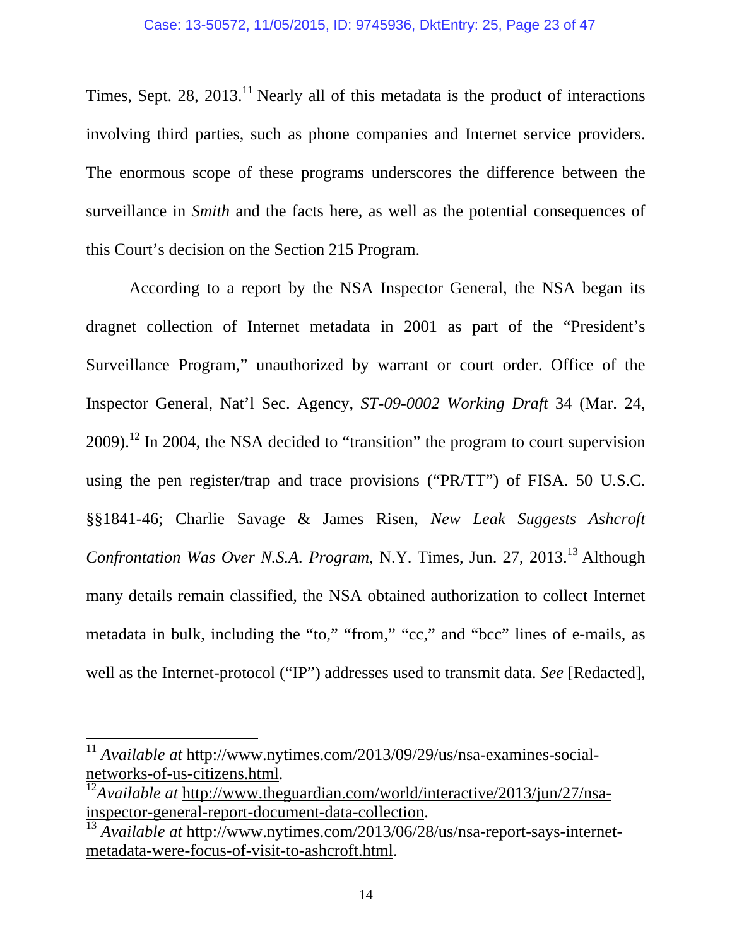Times, Sept. 28, 2013.<sup>11</sup> Nearly all of this metadata is the product of interactions involving third parties, such as phone companies and Internet service providers. The enormous scope of these programs underscores the difference between the surveillance in *Smith* and the facts here, as well as the potential consequences of this Court's decision on the Section 215 Program.

According to a report by the NSA Inspector General, the NSA began its dragnet collection of Internet metadata in 2001 as part of the "President's Surveillance Program," unauthorized by warrant or court order. Office of the Inspector General, Nat'l Sec. Agency, *ST-09-0002 Working Draft* 34 (Mar. 24,  $2009$ .<sup>12</sup> In 2004, the NSA decided to "transition" the program to court supervision using the pen register/trap and trace provisions ("PR/TT") of FISA. 50 U.S.C. §§1841-46; Charlie Savage & James Risen, *New Leak Suggests Ashcroft Confrontation Was Over N.S.A. Program, N.Y. Times, Jun. 27, 2013.*<sup>13</sup> Although many details remain classified, the NSA obtained authorization to collect Internet metadata in bulk, including the "to," "from," "cc," and "bcc" lines of e-mails, as well as the Internet-protocol ("IP") addresses used to transmit data. *See* [Redacted],

<sup>11</sup> *Available at* http://www.nytimes.com/2013/09/29/us/nsa-examines-socialnetworks-of-us-citizens.html.

<sup>&</sup>lt;sup>12</sup>*Available at* http://www.theguardian.com/world/interactive/2013/jun/27/nsainspector-general-report-document-data-collection.

<sup>13</sup> *Available at* http://www.nytimes.com/2013/06/28/us/nsa-report-says-internetmetadata-were-focus-of-visit-to-ashcroft.html.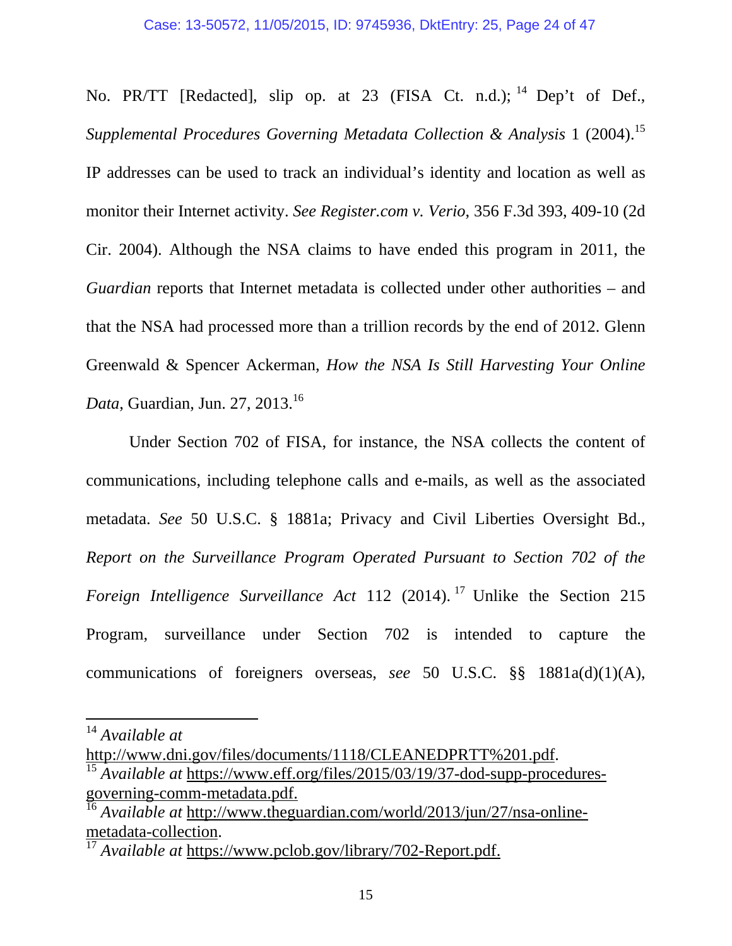No. PR/TT [Redacted], slip op. at 23 (FISA Ct. n.d.); <sup>14</sup> Dep't of Def., *Supplemental Procedures Governing Metadata Collection & Analysis* 1 (2004).<sup>15</sup> IP addresses can be used to track an individual's identity and location as well as monitor their Internet activity. *See Register.com v. Verio*, 356 F.3d 393, 409-10 (2d Cir. 2004). Although the NSA claims to have ended this program in 2011, the *Guardian* reports that Internet metadata is collected under other authorities – and that the NSA had processed more than a trillion records by the end of 2012. Glenn Greenwald & Spencer Ackerman, *How the NSA Is Still Harvesting Your Online Data*, Guardian, Jun. 27, 2013.<sup>16</sup>

Under Section 702 of FISA, for instance, the NSA collects the content of communications, including telephone calls and e-mails, as well as the associated metadata. *See* 50 U.S.C. § 1881a; Privacy and Civil Liberties Oversight Bd., *Report on the Surveillance Program Operated Pursuant to Section 702 of the Foreign Intelligence Surveillance Act 112 (2014).* <sup>17</sup> Unlike the Section 215 Program, surveillance under Section 702 is intended to capture the communications of foreigners overseas, *see* 50 U.S.C. §§ 1881a(d)(1)(A),

 

http://www.dni.gov/files/documents/1118/CLEANEDPRTT%201.pdf.

<sup>14</sup> *Available at*

<sup>&</sup>lt;sup>15</sup> Available at https://www.eff.org/files/2015/03/19/37-dod-supp-proceduresgoverning-comm-metadata.pdf.

<sup>16</sup> *Available at* http://www.theguardian.com/world/2013/jun/27/nsa-onlinemetadata-collection.

<sup>17</sup> *Available at* https://www.pclob.gov/library/702-Report.pdf.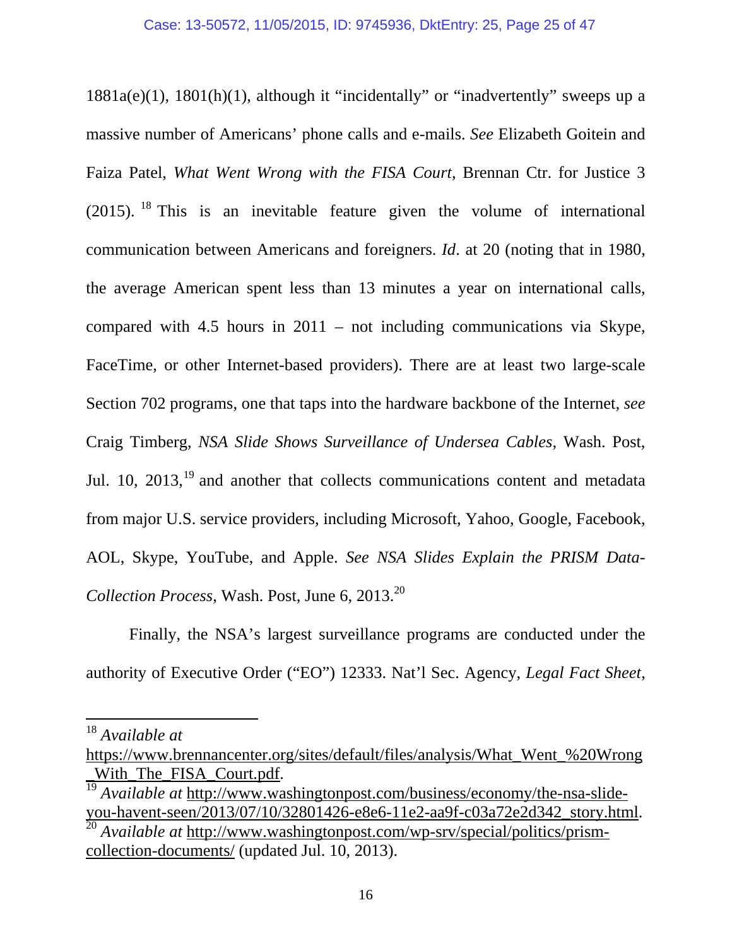1881a(e)(1), 1801(h)(1), although it "incidentally" or "inadvertently" sweeps up a massive number of Americans' phone calls and e-mails. *See* Elizabeth Goitein and Faiza Patel, *What Went Wrong with the FISA Court*, Brennan Ctr. for Justice 3 (2015). <sup>18</sup> This is an inevitable feature given the volume of international communication between Americans and foreigners. *Id*. at 20 (noting that in 1980, the average American spent less than 13 minutes a year on international calls, compared with 4.5 hours in 2011 – not including communications via Skype, FaceTime, or other Internet-based providers). There are at least two large-scale Section 702 programs, one that taps into the hardware backbone of the Internet, *see*  Craig Timberg, *NSA Slide Shows Surveillance of Undersea Cables*, Wash. Post, Jul. 10,  $2013$ ,  $19$  and another that collects communications content and metadata from major U.S. service providers, including Microsoft, Yahoo, Google, Facebook, AOL, Skype, YouTube, and Apple. *See NSA Slides Explain the PRISM Data-Collection Process*, Wash. Post, June 6, 2013.<sup>20</sup>

Finally, the NSA's largest surveillance programs are conducted under the authority of Executive Order ("EO") 12333. Nat'l Sec. Agency, *Legal Fact Sheet*,

<sup>18</sup> *Available at*

https://www.brennancenter.org/sites/default/files/analysis/What\_Went\_%20Wrong With The FISA Court.pdf.

<sup>19</sup> *Available at* http://www.washingtonpost.com/business/economy/the-nsa-slideyou-havent-seen/2013/07/10/32801426-e8e6-11e2-aa9f-c03a72e2d342\_story.html.

<sup>20</sup> *Available at* http://www.washingtonpost.com/wp-srv/special/politics/prismcollection-documents/ (updated Jul. 10, 2013).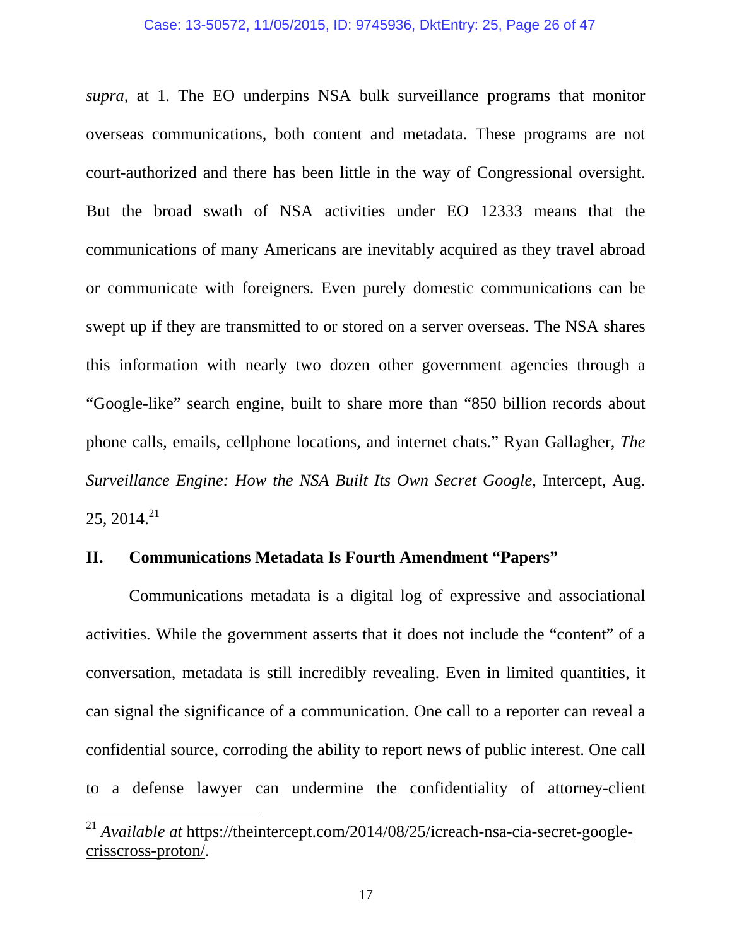#### Case: 13-50572, 11/05/2015, ID: 9745936, DktEntry: 25, Page 26 of 47

*supra*, at 1. The EO underpins NSA bulk surveillance programs that monitor overseas communications, both content and metadata. These programs are not court-authorized and there has been little in the way of Congressional oversight. But the broad swath of NSA activities under EO 12333 means that the communications of many Americans are inevitably acquired as they travel abroad or communicate with foreigners. Even purely domestic communications can be swept up if they are transmitted to or stored on a server overseas. The NSA shares this information with nearly two dozen other government agencies through a "Google-like" search engine, built to share more than "850 billion records about phone calls, emails, cellphone locations, and internet chats." Ryan Gallagher, *The Surveillance Engine: How the NSA Built Its Own Secret Google*, Intercept, Aug.  $25, 2014.<sup>21</sup>$ 

## **II. Communications Metadata Is Fourth Amendment "Papers"**

Communications metadata is a digital log of expressive and associational activities. While the government asserts that it does not include the "content" of a conversation, metadata is still incredibly revealing. Even in limited quantities, it can signal the significance of a communication. One call to a reporter can reveal a confidential source, corroding the ability to report news of public interest. One call to a defense lawyer can undermine the confidentiality of attorney-client

<sup>21</sup> *Available at* https://theintercept.com/2014/08/25/icreach-nsa-cia-secret-googlecrisscross-proton/.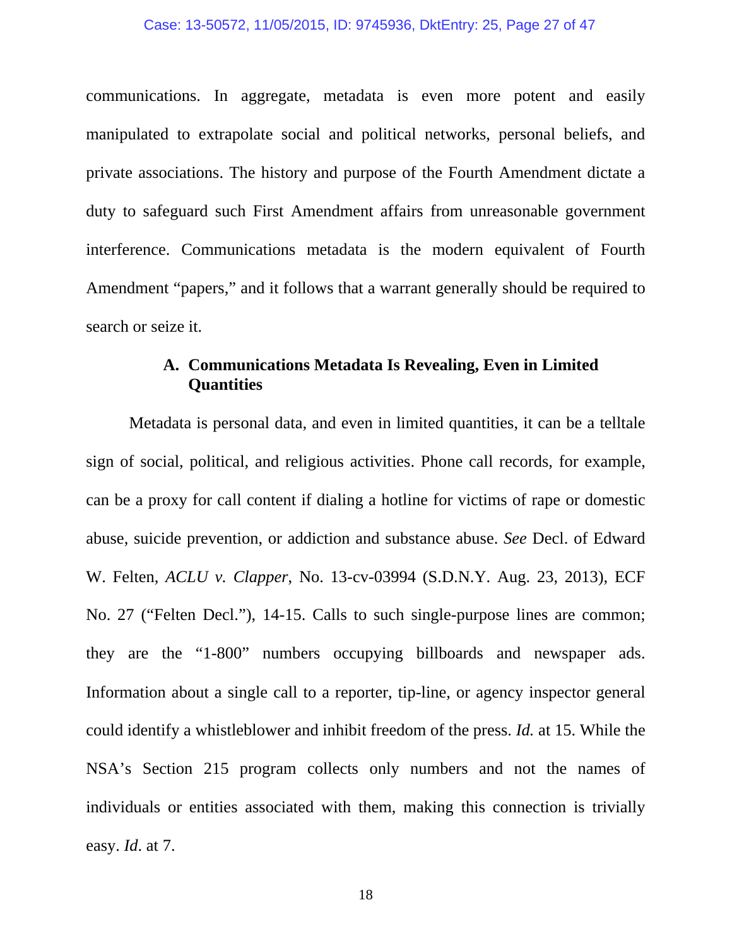#### Case: 13-50572, 11/05/2015, ID: 9745936, DktEntry: 25, Page 27 of 47

communications. In aggregate, metadata is even more potent and easily manipulated to extrapolate social and political networks, personal beliefs, and private associations. The history and purpose of the Fourth Amendment dictate a duty to safeguard such First Amendment affairs from unreasonable government interference. Communications metadata is the modern equivalent of Fourth Amendment "papers," and it follows that a warrant generally should be required to search or seize it.

## **A. Communications Metadata Is Revealing, Even in Limited Quantities**

Metadata is personal data, and even in limited quantities, it can be a telltale sign of social, political, and religious activities. Phone call records, for example, can be a proxy for call content if dialing a hotline for victims of rape or domestic abuse, suicide prevention, or addiction and substance abuse. *See* Decl. of Edward W. Felten, *ACLU v. Clapper*, No. 13-cv-03994 (S.D.N.Y. Aug. 23, 2013), ECF No. 27 ("Felten Decl."), 14-15. Calls to such single-purpose lines are common; they are the "1-800" numbers occupying billboards and newspaper ads. Information about a single call to a reporter, tip-line, or agency inspector general could identify a whistleblower and inhibit freedom of the press. *Id.* at 15. While the NSA's Section 215 program collects only numbers and not the names of individuals or entities associated with them, making this connection is trivially easy. *Id*. at 7.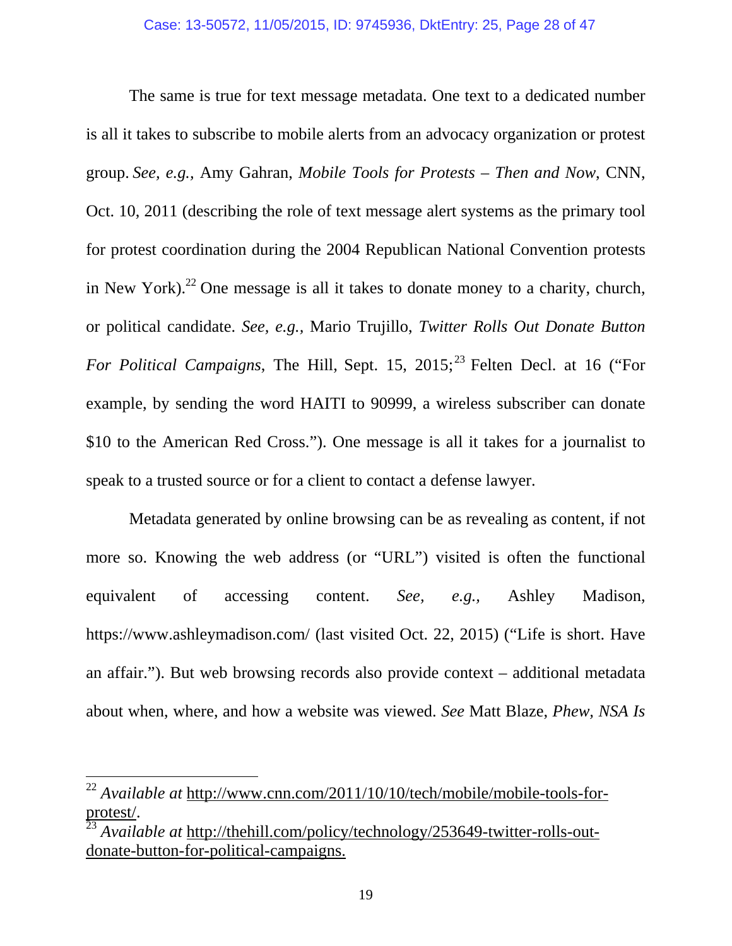The same is true for text message metadata. One text to a dedicated number is all it takes to subscribe to mobile alerts from an advocacy organization or protest group. *See, e.g.,* Amy Gahran, *Mobile Tools for Protests – Then and Now*, CNN, Oct. 10, 2011 (describing the role of text message alert systems as the primary tool for protest coordination during the 2004 Republican National Convention protests in New York).<sup>22</sup> One message is all it takes to donate money to a charity, church, or political candidate. *See, e.g.,* Mario Trujillo, *Twitter Rolls Out Donate Button For Political Campaigns*, The Hill, Sept. 15, 2015;<sup>23</sup> Felten Decl. at 16 ("For example, by sending the word HAITI to 90999, a wireless subscriber can donate \$10 to the American Red Cross."). One message is all it takes for a journalist to speak to a trusted source or for a client to contact a defense lawyer.

Metadata generated by online browsing can be as revealing as content, if not more so. Knowing the web address (or "URL") visited is often the functional equivalent of accessing content. *See, e.g.,* Ashley Madison, https://www.ashleymadison.com/ (last visited Oct. 22, 2015) ("Life is short. Have an affair."). But web browsing records also provide context – additional metadata about when, where, and how a website was viewed. *See* Matt Blaze, *Phew, NSA Is* 

<sup>22</sup> *Available at* http://www.cnn.com/2011/10/10/tech/mobile/mobile-tools-forprotest/.

<sup>23</sup> *Available at* http://thehill.com/policy/technology/253649-twitter-rolls-outdonate-button-for-political-campaigns.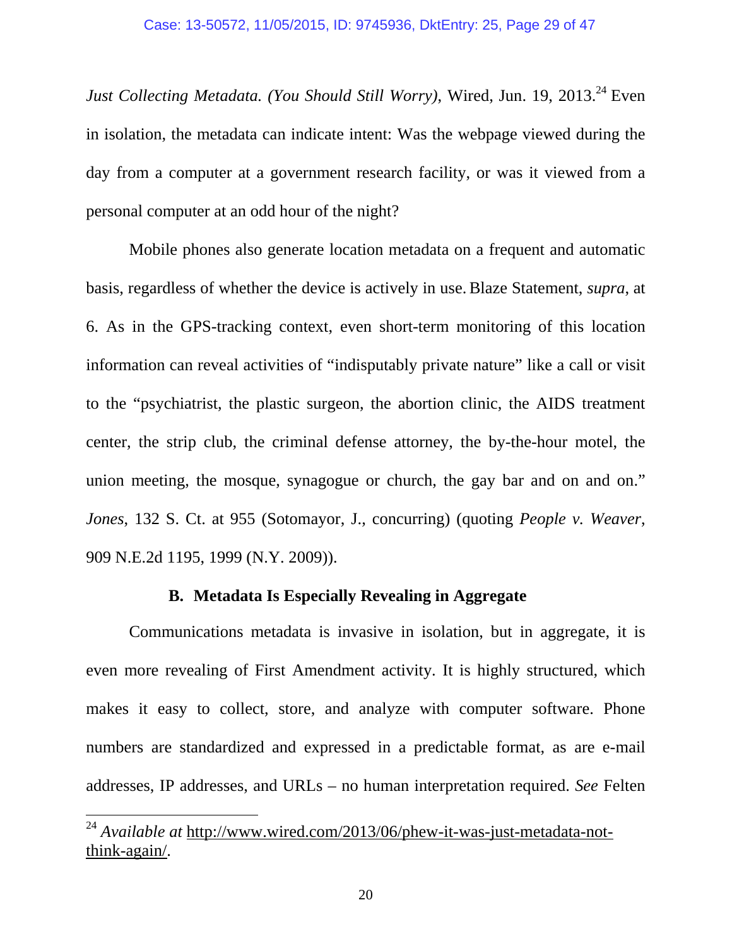Just Collecting Metadata. (You Should Still Worry), Wired, Jun. 19, 2013.<sup>24</sup> Even in isolation, the metadata can indicate intent: Was the webpage viewed during the day from a computer at a government research facility, or was it viewed from a personal computer at an odd hour of the night?

 Mobile phones also generate location metadata on a frequent and automatic basis, regardless of whether the device is actively in use.Blaze Statement, *supra*, at 6. As in the GPS-tracking context, even short-term monitoring of this location information can reveal activities of "indisputably private nature" like a call or visit to the "psychiatrist, the plastic surgeon, the abortion clinic, the AIDS treatment center, the strip club, the criminal defense attorney, the by-the-hour motel, the union meeting, the mosque, synagogue or church, the gay bar and on and on." *Jones*, 132 S. Ct. at 955 (Sotomayor, J., concurring) (quoting *People v. Weaver*, 909 N.E.2d 1195, 1999 (N.Y. 2009)).

## **B. Metadata Is Especially Revealing in Aggregate**

Communications metadata is invasive in isolation, but in aggregate, it is even more revealing of First Amendment activity. It is highly structured, which makes it easy to collect, store, and analyze with computer software. Phone numbers are standardized and expressed in a predictable format, as are e-mail addresses, IP addresses, and URLs – no human interpretation required. *See* Felten

<sup>&</sup>lt;sup>24</sup> *Available at http://www.wired.com/2013/06/phew-it-was-just-metadata-not*think-again/.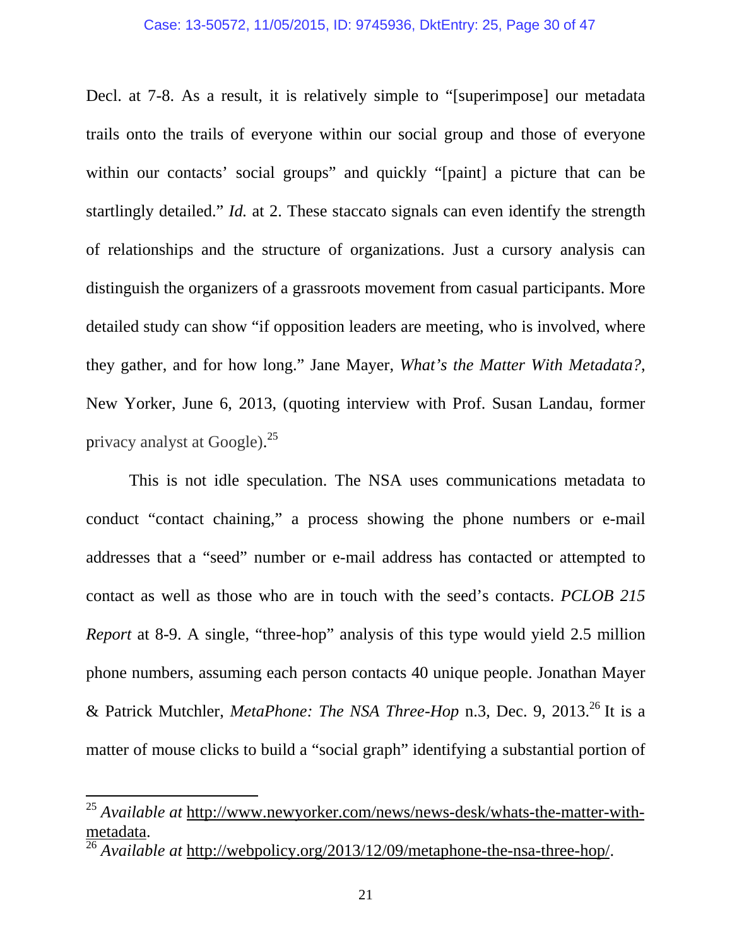#### Case: 13-50572, 11/05/2015, ID: 9745936, DktEntry: 25, Page 30 of 47

Decl. at 7-8. As a result, it is relatively simple to "[superimpose] our metadata trails onto the trails of everyone within our social group and those of everyone within our contacts' social groups" and quickly "[paint] a picture that can be startlingly detailed." *Id.* at 2. These staccato signals can even identify the strength of relationships and the structure of organizations. Just a cursory analysis can distinguish the organizers of a grassroots movement from casual participants. More detailed study can show "if opposition leaders are meeting, who is involved, where they gather, and for how long." Jane Mayer, *What's the Matter With Metadata?*, New Yorker, June 6, 2013, (quoting interview with Prof. Susan Landau, former privacy analyst at Google).<sup>25</sup>

This is not idle speculation. The NSA uses communications metadata to conduct "contact chaining," a process showing the phone numbers or e-mail addresses that a "seed" number or e-mail address has contacted or attempted to contact as well as those who are in touch with the seed's contacts. *PCLOB 215 Report* at 8-9. A single, "three-hop" analysis of this type would yield 2.5 million phone numbers, assuming each person contacts 40 unique people. Jonathan Mayer & Patrick Mutchler, *MetaPhone: The NSA Three-Hop* n.3, Dec. 9, 2013.26 It is a matter of mouse clicks to build a "social graph" identifying a substantial portion of

<sup>25</sup> *Available at* http://www.newyorker.com/news/news-desk/whats-the-matter-withmetadata.

<sup>&</sup>lt;sup>26</sup> Available at http://webpolicy.org/2013/12/09/metaphone-the-nsa-three-hop/.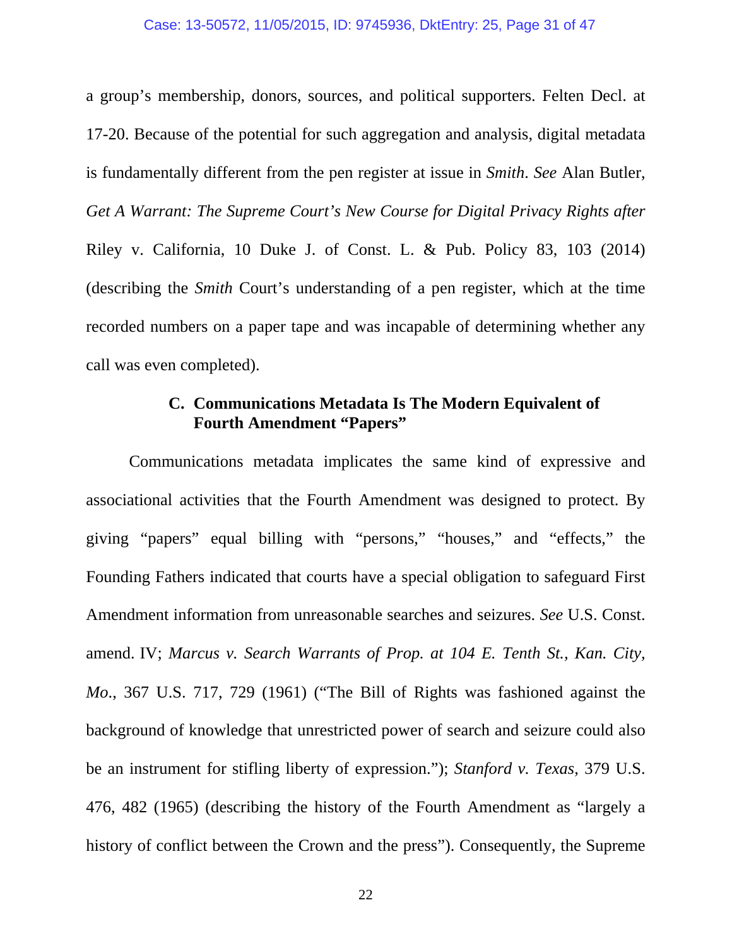a group's membership, donors, sources, and political supporters. Felten Decl. at 17-20. Because of the potential for such aggregation and analysis, digital metadata is fundamentally different from the pen register at issue in *Smith*. *See* Alan Butler, *Get A Warrant: The Supreme Court's New Course for Digital Privacy Rights after*  Riley v. California, 10 Duke J. of Const. L. & Pub. Policy 83, 103 (2014) (describing the *Smith* Court's understanding of a pen register, which at the time recorded numbers on a paper tape and was incapable of determining whether any call was even completed).

## **C. Communications Metadata Is The Modern Equivalent of Fourth Amendment "Papers"**

Communications metadata implicates the same kind of expressive and associational activities that the Fourth Amendment was designed to protect. By giving "papers" equal billing with "persons," "houses," and "effects," the Founding Fathers indicated that courts have a special obligation to safeguard First Amendment information from unreasonable searches and seizures. *See* U.S. Const. amend. IV; *Marcus v. Search Warrants of Prop. at 104 E. Tenth St., Kan. City, Mo*., 367 U.S. 717, 729 (1961) ("The Bill of Rights was fashioned against the background of knowledge that unrestricted power of search and seizure could also be an instrument for stifling liberty of expression."); *Stanford v. Texas*, 379 U.S. 476, 482 (1965) (describing the history of the Fourth Amendment as "largely a history of conflict between the Crown and the press"). Consequently, the Supreme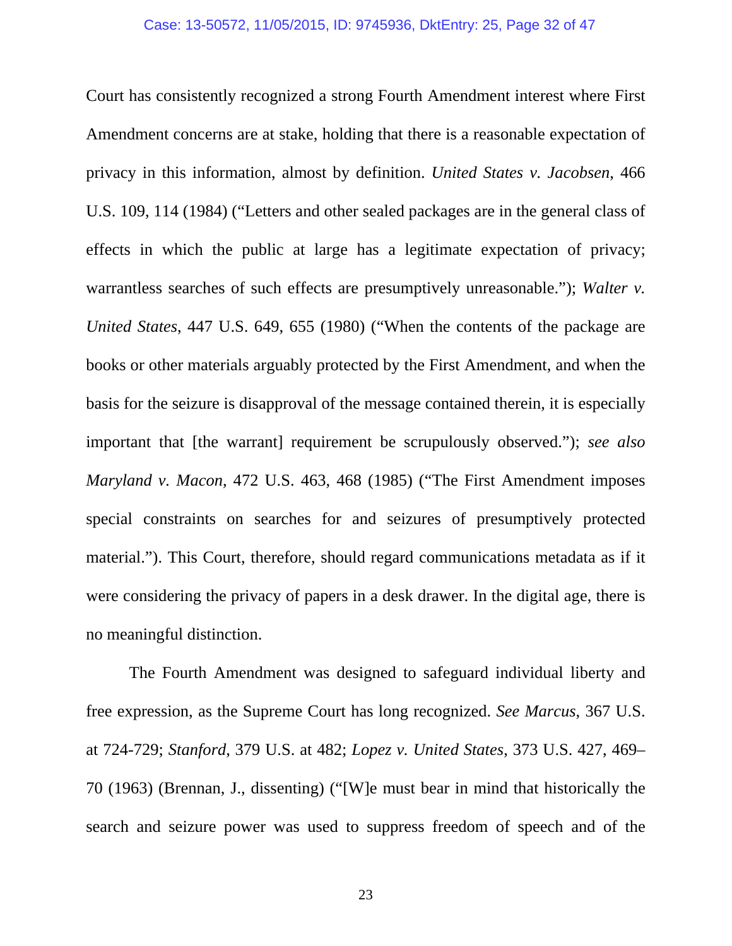Court has consistently recognized a strong Fourth Amendment interest where First Amendment concerns are at stake, holding that there is a reasonable expectation of privacy in this information, almost by definition. *United States v. Jacobsen*, 466 U.S. 109, 114 (1984) ("Letters and other sealed packages are in the general class of effects in which the public at large has a legitimate expectation of privacy; warrantless searches of such effects are presumptively unreasonable."); *Walter v. United States*, 447 U.S. 649, 655 (1980) ("When the contents of the package are books or other materials arguably protected by the First Amendment, and when the basis for the seizure is disapproval of the message contained therein, it is especially important that [the warrant] requirement be scrupulously observed."); *see also Maryland v. Macon*, 472 U.S. 463, 468 (1985) ("The First Amendment imposes special constraints on searches for and seizures of presumptively protected material."). This Court, therefore, should regard communications metadata as if it were considering the privacy of papers in a desk drawer. In the digital age, there is no meaningful distinction.

The Fourth Amendment was designed to safeguard individual liberty and free expression, as the Supreme Court has long recognized. *See Marcus*, 367 U.S. at 724-729; *Stanford*, 379 U.S. at 482; *Lopez v. United States*, 373 U.S. 427, 469– 70 (1963) (Brennan, J., dissenting) ("[W]e must bear in mind that historically the search and seizure power was used to suppress freedom of speech and of the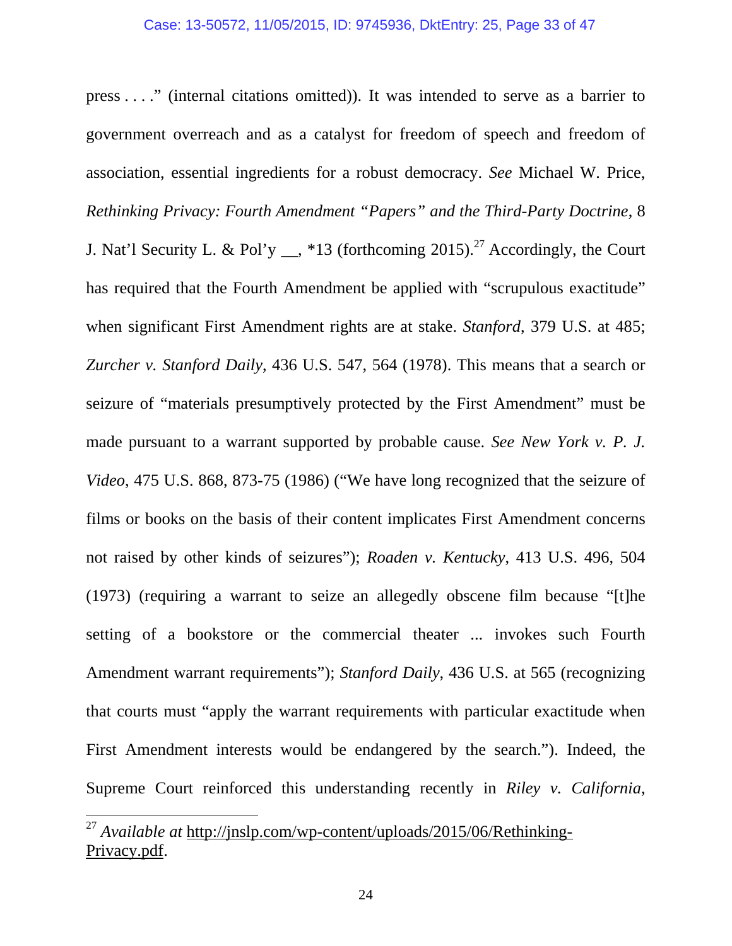press . . . ." (internal citations omitted)). It was intended to serve as a barrier to government overreach and as a catalyst for freedom of speech and freedom of association, essential ingredients for a robust democracy. *See* Michael W. Price, *Rethinking Privacy: Fourth Amendment "Papers" and the Third-Party Doctrine*, 8 J. Nat'l Security L. & Pol'y <sub>\_\_</sub>, \*13 (forthcoming 2015).<sup>27</sup> Accordingly, the Court has required that the Fourth Amendment be applied with "scrupulous exactitude" when significant First Amendment rights are at stake. *Stanford*, 379 U.S. at 485; *Zurcher v. Stanford Daily*, 436 U.S. 547, 564 (1978). This means that a search or seizure of "materials presumptively protected by the First Amendment" must be made pursuant to a warrant supported by probable cause. *See New York v. P. J. Video*, 475 U.S. 868, 873-75 (1986) ("We have long recognized that the seizure of films or books on the basis of their content implicates First Amendment concerns not raised by other kinds of seizures"); *Roaden v. Kentucky*, 413 U.S. 496, 504 (1973) (requiring a warrant to seize an allegedly obscene film because "[t]he setting of a bookstore or the commercial theater ... invokes such Fourth Amendment warrant requirements"); *Stanford Daily*, 436 U.S. at 565 (recognizing that courts must "apply the warrant requirements with particular exactitude when First Amendment interests would be endangered by the search."). Indeed, the Supreme Court reinforced this understanding recently in *Riley v. California*,

<sup>27</sup> *Available at* http://jnslp.com/wp-content/uploads/2015/06/Rethinking-Privacy.pdf.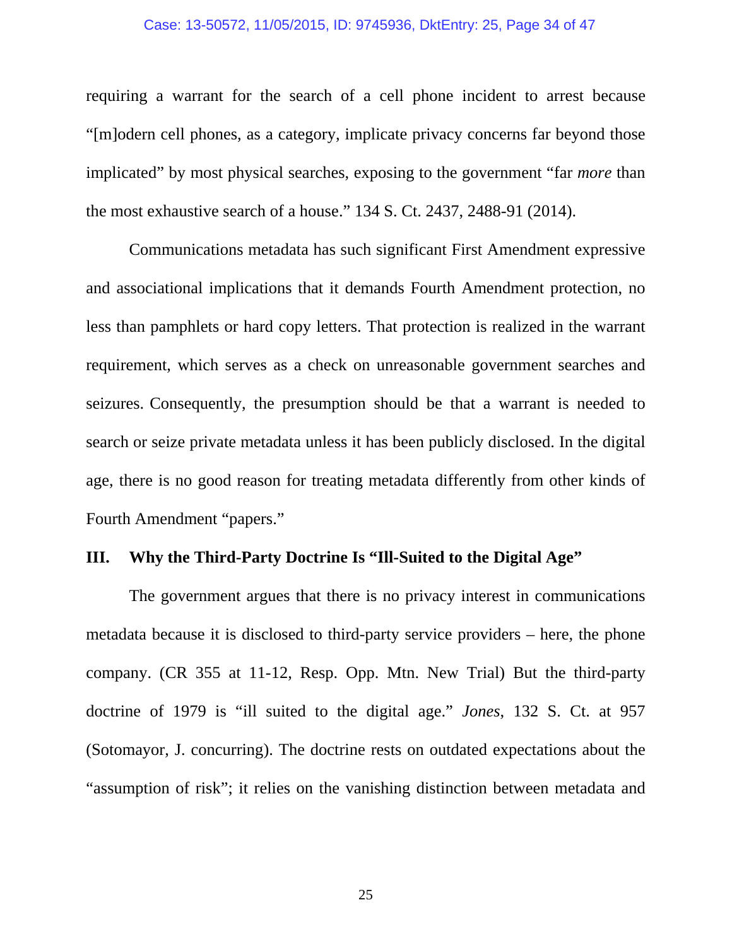#### Case: 13-50572, 11/05/2015, ID: 9745936, DktEntry: 25, Page 34 of 47

requiring a warrant for the search of a cell phone incident to arrest because "[m]odern cell phones, as a category, implicate privacy concerns far beyond those implicated" by most physical searches, exposing to the government "far *more* than the most exhaustive search of a house." 134 S. Ct. 2437, 2488-91 (2014).

Communications metadata has such significant First Amendment expressive and associational implications that it demands Fourth Amendment protection, no less than pamphlets or hard copy letters. That protection is realized in the warrant requirement, which serves as a check on unreasonable government searches and seizures. Consequently, the presumption should be that a warrant is needed to search or seize private metadata unless it has been publicly disclosed. In the digital age, there is no good reason for treating metadata differently from other kinds of Fourth Amendment "papers."

# **III. Why the Third-Party Doctrine Is "Ill-Suited to the Digital Age"**

The government argues that there is no privacy interest in communications metadata because it is disclosed to third-party service providers – here, the phone company. (CR 355 at 11-12, Resp. Opp. Mtn. New Trial) But the third-party doctrine of 1979 is "ill suited to the digital age." *Jones*, 132 S. Ct. at 957 (Sotomayor, J. concurring). The doctrine rests on outdated expectations about the "assumption of risk"; it relies on the vanishing distinction between metadata and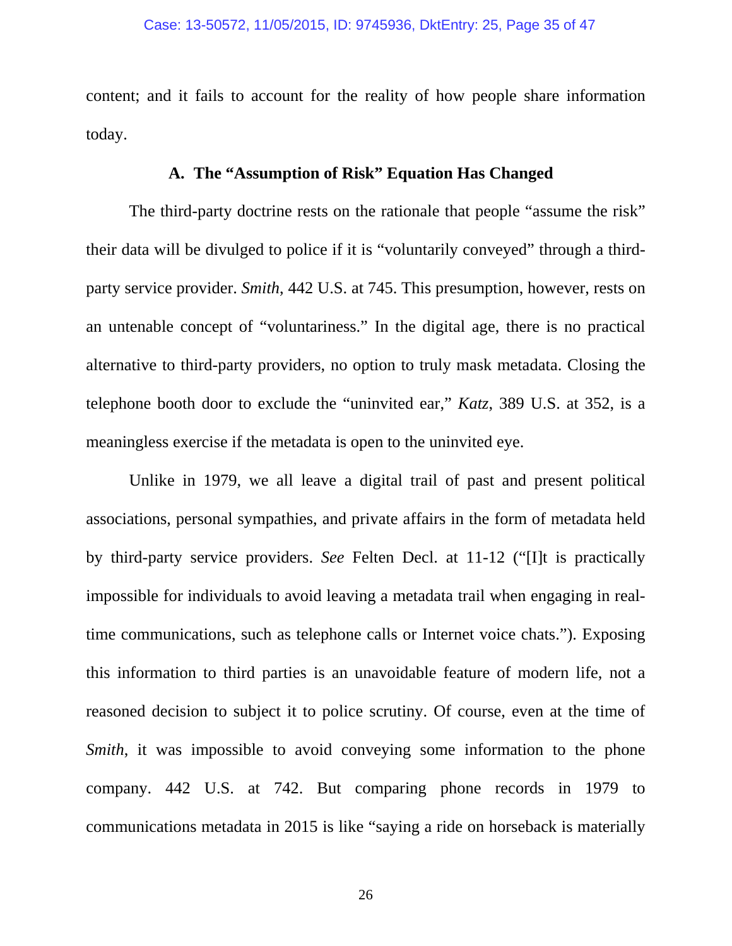content; and it fails to account for the reality of how people share information today.

## **A. The "Assumption of Risk" Equation Has Changed**

The third-party doctrine rests on the rationale that people "assume the risk" their data will be divulged to police if it is "voluntarily conveyed" through a thirdparty service provider. *Smith*, 442 U.S. at 745. This presumption, however, rests on an untenable concept of "voluntariness." In the digital age, there is no practical alternative to third-party providers, no option to truly mask metadata. Closing the telephone booth door to exclude the "uninvited ear," *Katz*, 389 U.S. at 352, is a meaningless exercise if the metadata is open to the uninvited eye.

Unlike in 1979, we all leave a digital trail of past and present political associations, personal sympathies, and private affairs in the form of metadata held by third-party service providers. *See* Felten Decl. at 11-12 ("[I]t is practically impossible for individuals to avoid leaving a metadata trail when engaging in realtime communications, such as telephone calls or Internet voice chats."). Exposing this information to third parties is an unavoidable feature of modern life, not a reasoned decision to subject it to police scrutiny. Of course, even at the time of *Smith*, it was impossible to avoid conveying some information to the phone company. 442 U.S. at 742. But comparing phone records in 1979 to communications metadata in 2015 is like "saying a ride on horseback is materially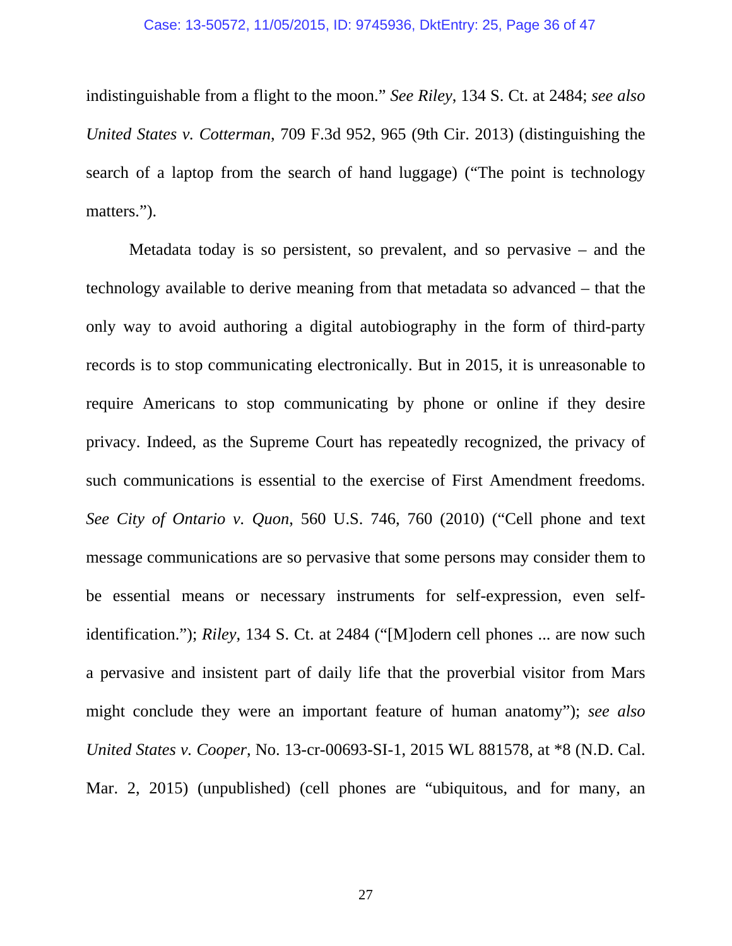indistinguishable from a flight to the moon." *See Riley*, 134 S. Ct. at 2484; *see also United States v. Cotterman*, 709 F.3d 952, 965 (9th Cir. 2013) (distinguishing the search of a laptop from the search of hand luggage) ("The point is technology matters.").

Metadata today is so persistent, so prevalent, and so pervasive – and the technology available to derive meaning from that metadata so advanced – that the only way to avoid authoring a digital autobiography in the form of third-party records is to stop communicating electronically. But in 2015, it is unreasonable to require Americans to stop communicating by phone or online if they desire privacy. Indeed, as the Supreme Court has repeatedly recognized, the privacy of such communications is essential to the exercise of First Amendment freedoms. *See City of Ontario v. Quon*, 560 U.S. 746, 760 (2010) ("Cell phone and text message communications are so pervasive that some persons may consider them to be essential means or necessary instruments for self-expression, even selfidentification."); *Riley*, 134 S. Ct. at 2484 ("[M]odern cell phones ... are now such a pervasive and insistent part of daily life that the proverbial visitor from Mars might conclude they were an important feature of human anatomy"); *see also United States v. Cooper*, No. 13-cr-00693-SI-1, 2015 WL 881578, at \*8 (N.D. Cal. Mar. 2, 2015) (unpublished) (cell phones are "ubiquitous, and for many, an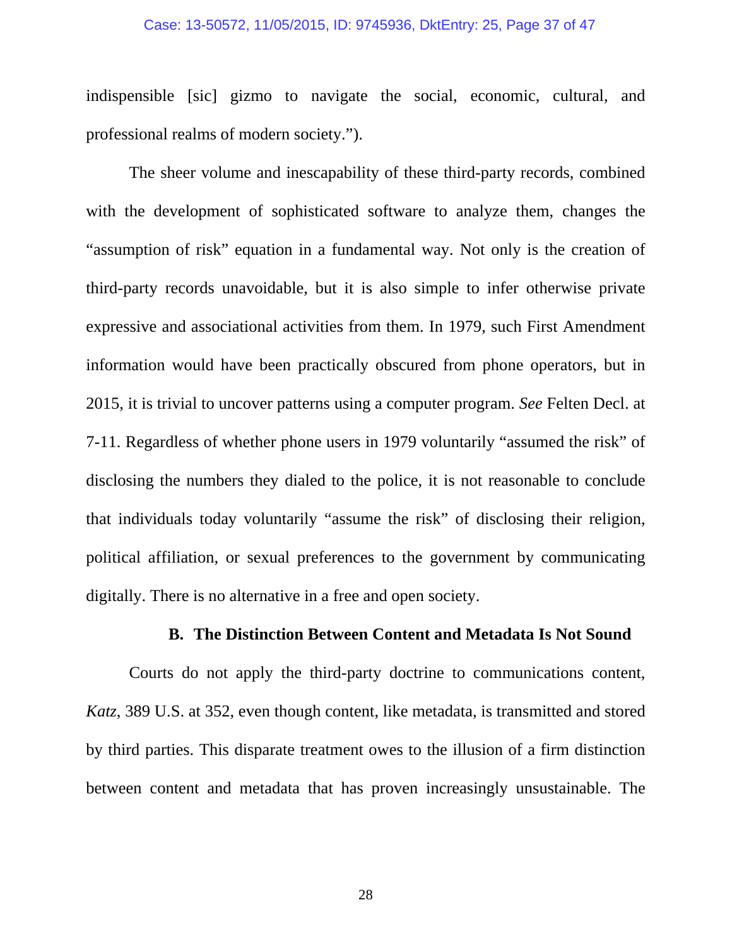#### Case: 13-50572, 11/05/2015, ID: 9745936, DktEntry: 25, Page 37 of 47

indispensible [sic] gizmo to navigate the social, economic, cultural, and professional realms of modern society.").

The sheer volume and inescapability of these third-party records, combined with the development of sophisticated software to analyze them, changes the "assumption of risk" equation in a fundamental way. Not only is the creation of third-party records unavoidable, but it is also simple to infer otherwise private expressive and associational activities from them. In 1979, such First Amendment information would have been practically obscured from phone operators, but in 2015, it is trivial to uncover patterns using a computer program. *See* Felten Decl. at 7-11. Regardless of whether phone users in 1979 voluntarily "assumed the risk" of disclosing the numbers they dialed to the police, it is not reasonable to conclude that individuals today voluntarily "assume the risk" of disclosing their religion, political affiliation, or sexual preferences to the government by communicating digitally. There is no alternative in a free and open society.

#### **B. The Distinction Between Content and Metadata Is Not Sound**

Courts do not apply the third-party doctrine to communications content, *Katz*, 389 U.S. at 352, even though content, like metadata, is transmitted and stored by third parties. This disparate treatment owes to the illusion of a firm distinction between content and metadata that has proven increasingly unsustainable. The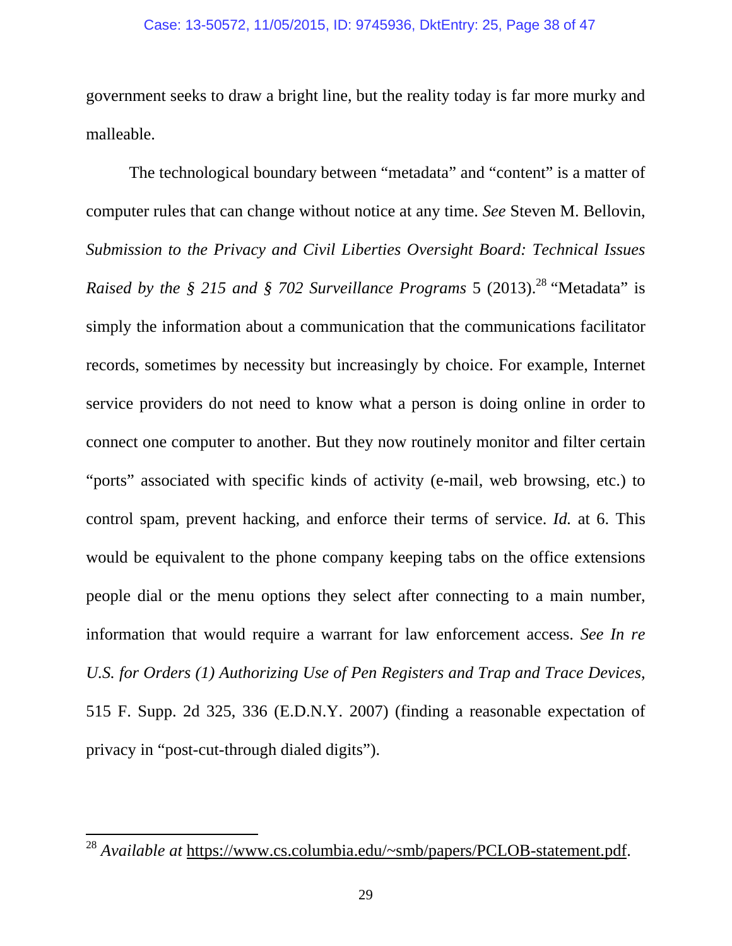#### Case: 13-50572, 11/05/2015, ID: 9745936, DktEntry: 25, Page 38 of 47

government seeks to draw a bright line, but the reality today is far more murky and malleable.

The technological boundary between "metadata" and "content" is a matter of computer rules that can change without notice at any time. *See* Steven M. Bellovin, *Submission to the Privacy and Civil Liberties Oversight Board: Technical Issues Raised by the § 215 and § 702 Surveillance Programs* 5 (2013).<sup>28</sup> "Metadata" is simply the information about a communication that the communications facilitator records, sometimes by necessity but increasingly by choice. For example, Internet service providers do not need to know what a person is doing online in order to connect one computer to another. But they now routinely monitor and filter certain "ports" associated with specific kinds of activity (e-mail, web browsing, etc.) to control spam, prevent hacking, and enforce their terms of service. *Id.* at 6. This would be equivalent to the phone company keeping tabs on the office extensions people dial or the menu options they select after connecting to a main number, information that would require a warrant for law enforcement access. *See In re U.S. for Orders (1) Authorizing Use of Pen Registers and Trap and Trace Devices*, 515 F. Supp. 2d 325, 336 (E.D.N.Y. 2007) (finding a reasonable expectation of privacy in "post-cut-through dialed digits").

<sup>&</sup>lt;sup>28</sup> *Available at* https://www.cs.columbia.edu/~smb/papers/PCLOB-statement.pdf.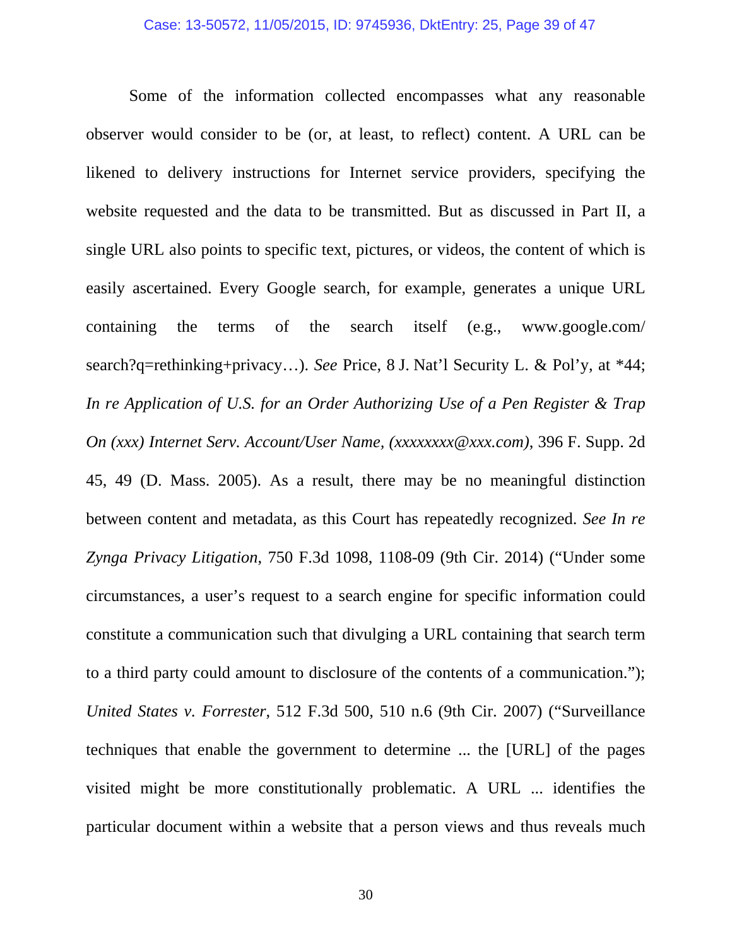Some of the information collected encompasses what any reasonable observer would consider to be (or, at least, to reflect) content. A URL can be likened to delivery instructions for Internet service providers, specifying the website requested and the data to be transmitted. But as discussed in Part II, a single URL also points to specific text, pictures, or videos, the content of which is easily ascertained. Every Google search, for example, generates a unique URL containing the terms of the search itself (e.g., www.google.com/ search?q=rethinking+privacy…). *See* Price, 8 J. Nat'l Security L. & Pol'y, at \*44; *In re Application of U.S. for an Order Authorizing Use of a Pen Register & Trap On (xxx) Internet Serv. Account/User Name, (xxxxxxxx@xxx.com)*, 396 F. Supp. 2d 45, 49 (D. Mass. 2005). As a result, there may be no meaningful distinction between content and metadata, as this Court has repeatedly recognized. *See In re Zynga Privacy Litigation*, 750 F.3d 1098, 1108-09 (9th Cir. 2014) ("Under some circumstances, a user's request to a search engine for specific information could constitute a communication such that divulging a URL containing that search term to a third party could amount to disclosure of the contents of a communication."); *United States v. Forrester*, 512 F.3d 500, 510 n.6 (9th Cir. 2007) ("Surveillance techniques that enable the government to determine ... the [URL] of the pages visited might be more constitutionally problematic. A URL ... identifies the particular document within a website that a person views and thus reveals much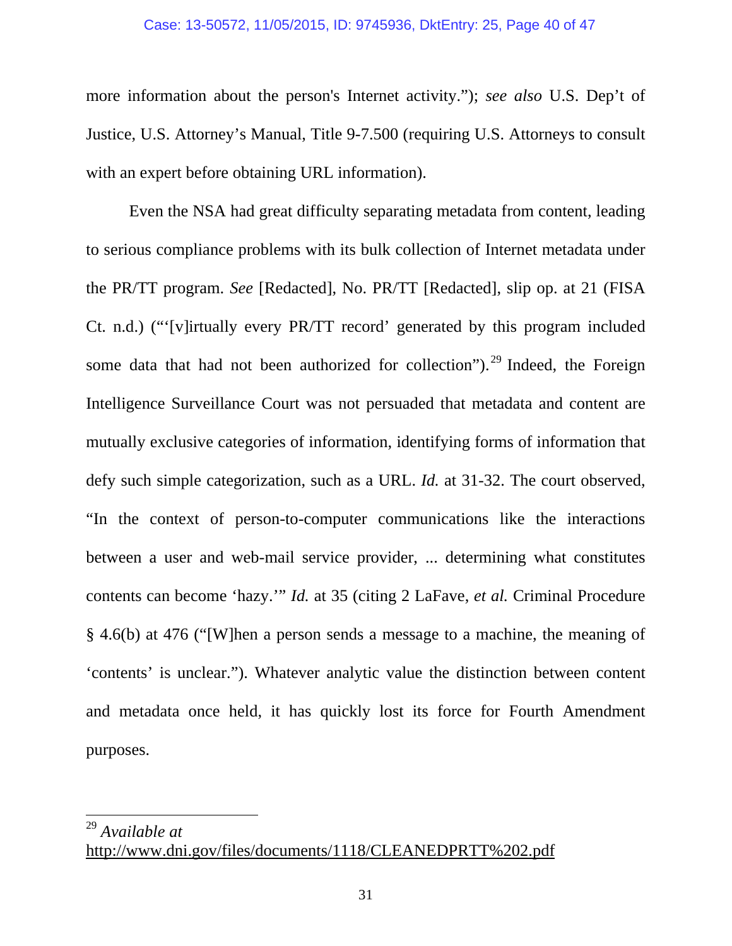#### Case: 13-50572, 11/05/2015, ID: 9745936, DktEntry: 25, Page 40 of 47

more information about the person's Internet activity."); *see also* U.S. Dep't of Justice, U.S. Attorney's Manual, Title 9-7.500 (requiring U.S. Attorneys to consult with an expert before obtaining URL information).

Even the NSA had great difficulty separating metadata from content, leading to serious compliance problems with its bulk collection of Internet metadata under the PR/TT program. *See* [Redacted], No. PR/TT [Redacted], slip op. at 21 (FISA Ct. n.d.) ("'[v]irtually every PR/TT record' generated by this program included some data that had not been authorized for collection").<sup>29</sup> Indeed, the Foreign Intelligence Surveillance Court was not persuaded that metadata and content are mutually exclusive categories of information, identifying forms of information that defy such simple categorization, such as a URL. *Id.* at 31-32. The court observed, "In the context of person-to-computer communications like the interactions between a user and web-mail service provider, ... determining what constitutes contents can become 'hazy.'" *Id.* at 35 (citing 2 LaFave, *et al.* Criminal Procedure § 4.6(b) at 476 ("[W]hen a person sends a message to a machine, the meaning of 'contents' is unclear."). Whatever analytic value the distinction between content and metadata once held, it has quickly lost its force for Fourth Amendment purposes.

<sup>29</sup> *Available at*

http://www.dni.gov/files/documents/1118/CLEANEDPRTT%202.pdf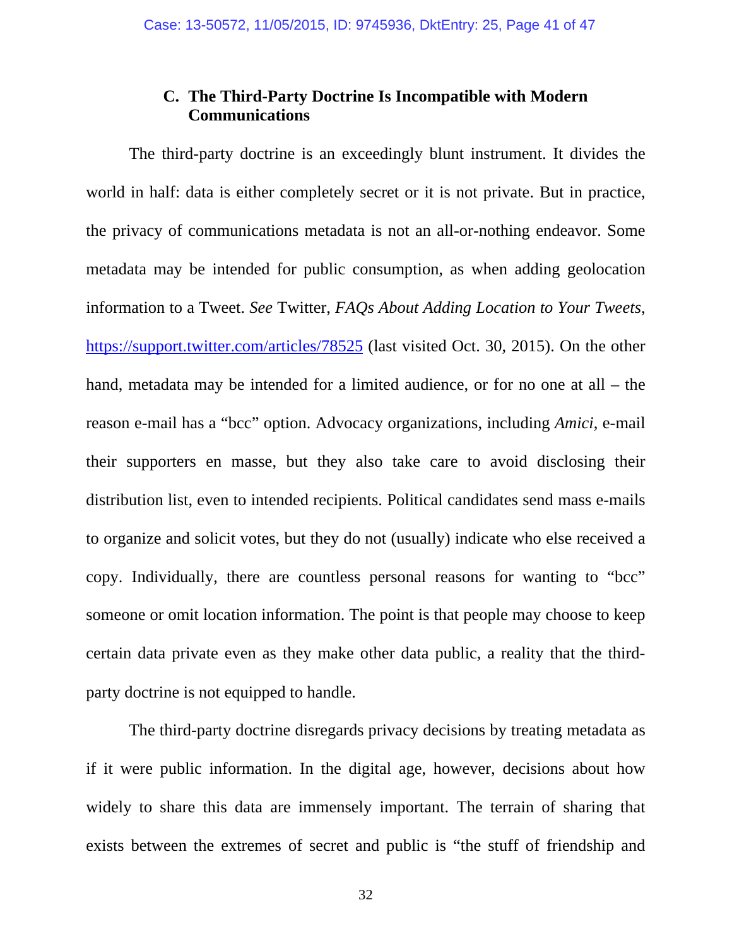## **C. The Third-Party Doctrine Is Incompatible with Modern Communications**

The third-party doctrine is an exceedingly blunt instrument. It divides the world in half: data is either completely secret or it is not private. But in practice, the privacy of communications metadata is not an all-or-nothing endeavor. Some metadata may be intended for public consumption, as when adding geolocation information to a Tweet. *See* Twitter, *FAQs About Adding Location to Your Tweets*, https://support.twitter.com/articles/78525 (last visited Oct. 30, 2015). On the other hand, metadata may be intended for a limited audience, or for no one at all – the reason e-mail has a "bcc" option. Advocacy organizations, including *Amici*, e-mail their supporters en masse, but they also take care to avoid disclosing their distribution list, even to intended recipients. Political candidates send mass e-mails to organize and solicit votes, but they do not (usually) indicate who else received a copy. Individually, there are countless personal reasons for wanting to "bcc" someone or omit location information. The point is that people may choose to keep certain data private even as they make other data public, a reality that the thirdparty doctrine is not equipped to handle.

The third-party doctrine disregards privacy decisions by treating metadata as if it were public information. In the digital age, however, decisions about how widely to share this data are immensely important. The terrain of sharing that exists between the extremes of secret and public is "the stuff of friendship and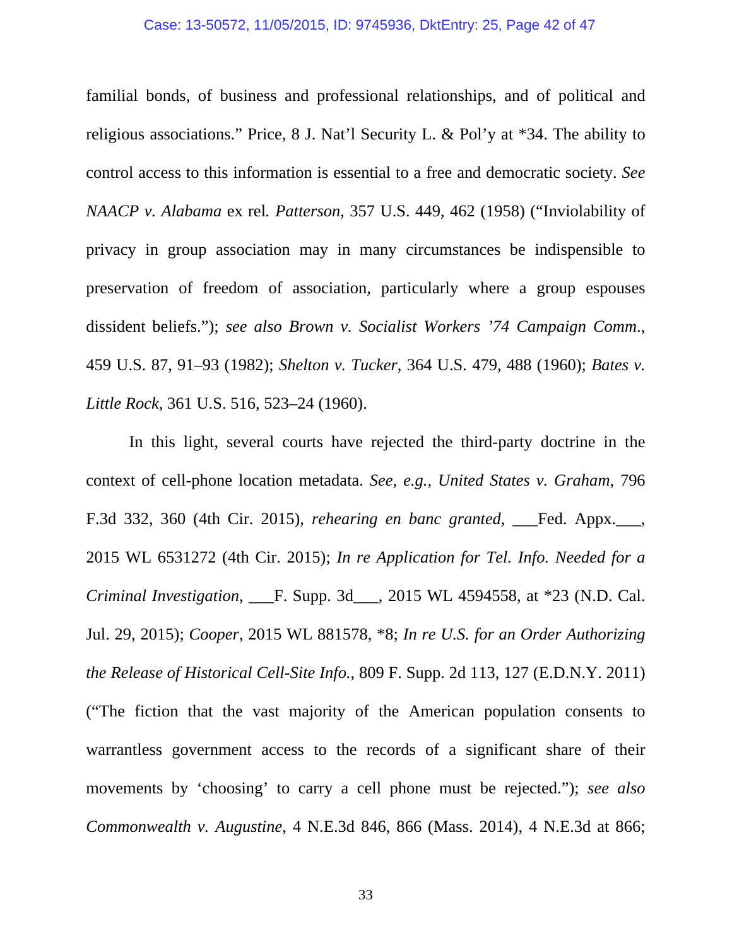#### Case: 13-50572, 11/05/2015, ID: 9745936, DktEntry: 25, Page 42 of 47

familial bonds, of business and professional relationships, and of political and religious associations." Price, 8 J. Nat'l Security L. & Pol'y at \*34. The ability to control access to this information is essential to a free and democratic society. *See NAACP v. Alabama* ex rel*. Patterson*, 357 U.S. 449, 462 (1958) ("Inviolability of privacy in group association may in many circumstances be indispensible to preservation of freedom of association, particularly where a group espouses dissident beliefs."); *see also Brown v. Socialist Workers '74 Campaign Comm*., 459 U.S. 87, 91–93 (1982); *Shelton v. Tucker*, 364 U.S. 479, 488 (1960); *Bates v. Little Rock*, 361 U.S. 516, 523–24 (1960).

In this light, several courts have rejected the third-party doctrine in the context of cell-phone location metadata. *See, e.g., United States v. Graham*, 796 F.3d 332, 360 (4th Cir. 2015), *rehearing en banc granted*, \_\_\_Fed. Appx.\_\_\_, 2015 WL 6531272 (4th Cir. 2015); *In re Application for Tel. Info. Needed for a Criminal Investigation*, \_\_\_F. Supp. 3d\_\_\_, 2015 WL 4594558, at \*23 (N.D. Cal. Jul. 29, 2015); *Cooper*, 2015 WL 881578, \*8; *In re U.S. for an Order Authorizing the Release of Historical Cell-Site Info.*, 809 F. Supp. 2d 113, 127 (E.D.N.Y. 2011) ("The fiction that the vast majority of the American population consents to warrantless government access to the records of a significant share of their movements by 'choosing' to carry a cell phone must be rejected."); *see also Commonwealth v. Augustine*, 4 N.E.3d 846, 866 (Mass. 2014), 4 N.E.3d at 866;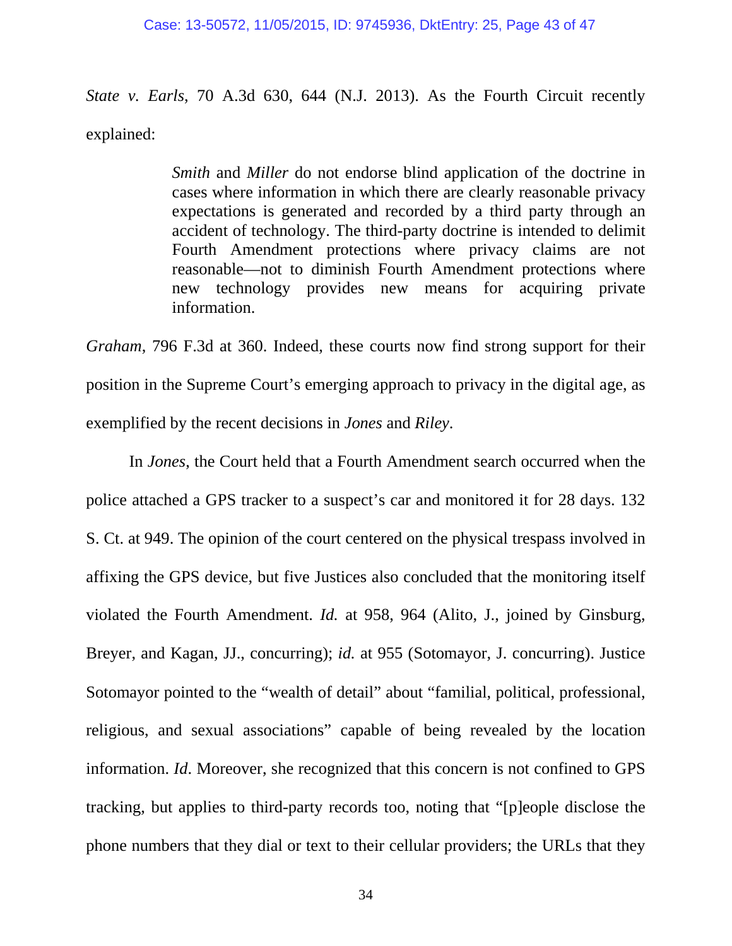*State v. Earls*, 70 A.3d 630, 644 (N.J. 2013). As the Fourth Circuit recently explained:

> *Smith* and *Miller* do not endorse blind application of the doctrine in cases where information in which there are clearly reasonable privacy expectations is generated and recorded by a third party through an accident of technology. The third-party doctrine is intended to delimit Fourth Amendment protections where privacy claims are not reasonable—not to diminish Fourth Amendment protections where new technology provides new means for acquiring private information.

*Graham*, 796 F.3d at 360. Indeed, these courts now find strong support for their position in the Supreme Court's emerging approach to privacy in the digital age, as exemplified by the recent decisions in *Jones* and *Riley*.

In *Jones*, the Court held that a Fourth Amendment search occurred when the police attached a GPS tracker to a suspect's car and monitored it for 28 days. 132 S. Ct. at 949. The opinion of the court centered on the physical trespass involved in affixing the GPS device, but five Justices also concluded that the monitoring itself violated the Fourth Amendment. *Id.* at 958, 964 (Alito, J., joined by Ginsburg, Breyer, and Kagan, JJ., concurring); *id.* at 955 (Sotomayor, J. concurring). Justice Sotomayor pointed to the "wealth of detail" about "familial, political, professional, religious, and sexual associations" capable of being revealed by the location information. *Id*. Moreover, she recognized that this concern is not confined to GPS tracking, but applies to third-party records too, noting that "[p]eople disclose the phone numbers that they dial or text to their cellular providers; the URLs that they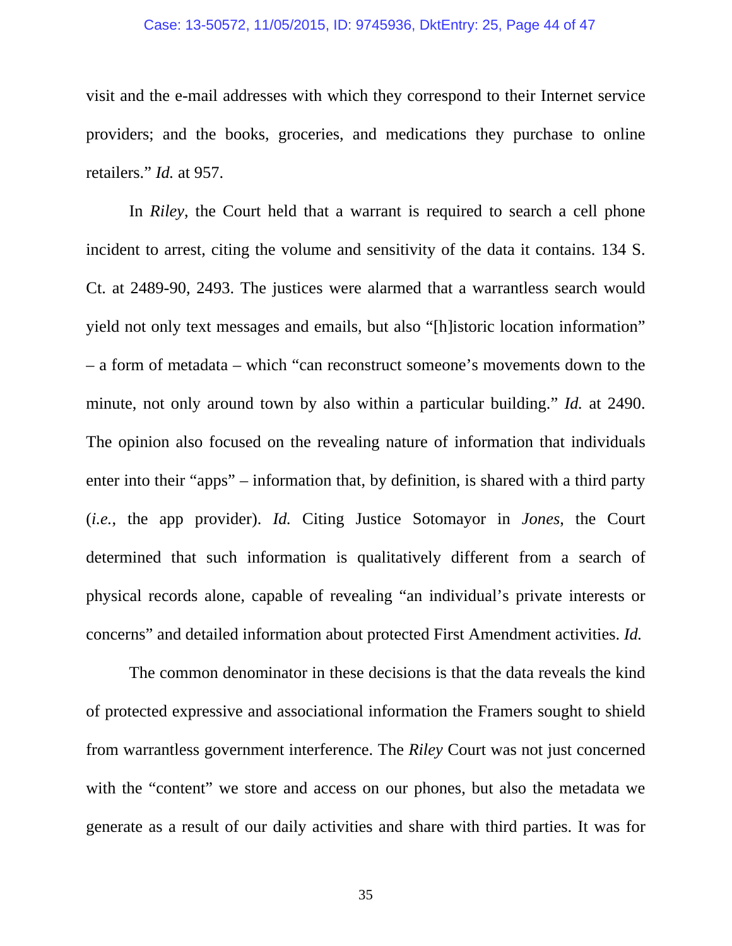#### Case: 13-50572, 11/05/2015, ID: 9745936, DktEntry: 25, Page 44 of 47

visit and the e-mail addresses with which they correspond to their Internet service providers; and the books, groceries, and medications they purchase to online retailers." *Id.* at 957.

In *Riley*, the Court held that a warrant is required to search a cell phone incident to arrest, citing the volume and sensitivity of the data it contains. 134 S. Ct. at 2489-90, 2493. The justices were alarmed that a warrantless search would yield not only text messages and emails, but also "[h]istoric location information" – a form of metadata – which "can reconstruct someone's movements down to the minute, not only around town by also within a particular building." *Id.* at 2490. The opinion also focused on the revealing nature of information that individuals enter into their "apps" – information that, by definition, is shared with a third party (*i.e.*, the app provider). *Id.* Citing Justice Sotomayor in *Jones*, the Court determined that such information is qualitatively different from a search of physical records alone, capable of revealing "an individual's private interests or concerns" and detailed information about protected First Amendment activities. *Id.*

The common denominator in these decisions is that the data reveals the kind of protected expressive and associational information the Framers sought to shield from warrantless government interference. The *Riley* Court was not just concerned with the "content" we store and access on our phones, but also the metadata we generate as a result of our daily activities and share with third parties. It was for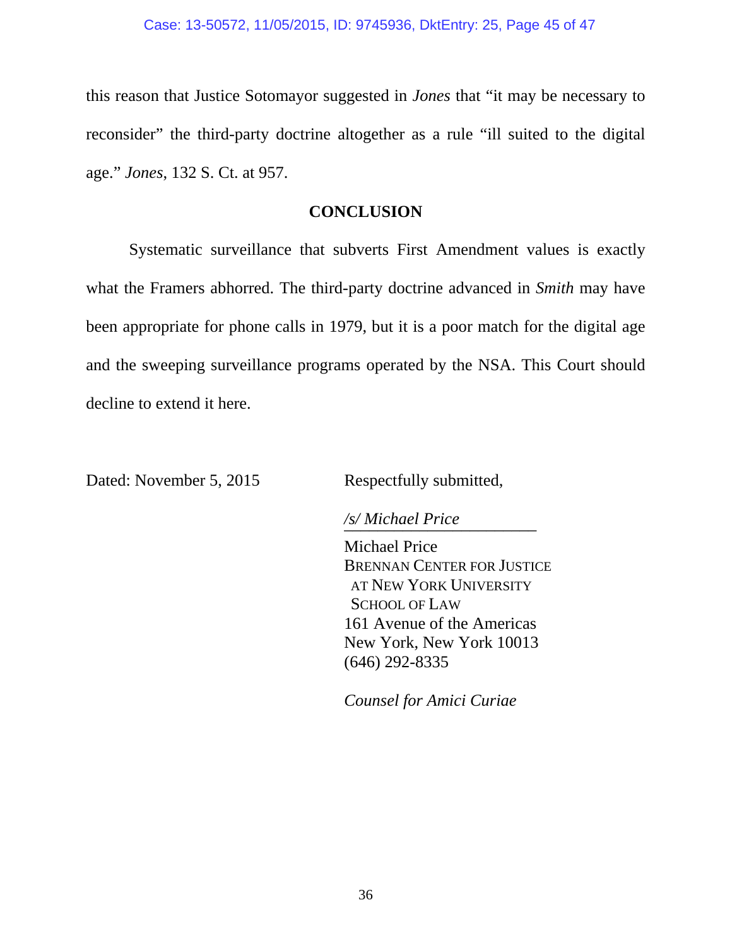this reason that Justice Sotomayor suggested in *Jones* that "it may be necessary to reconsider" the third-party doctrine altogether as a rule "ill suited to the digital age." *Jones*, 132 S. Ct. at 957.

## **CONCLUSION**

Systematic surveillance that subverts First Amendment values is exactly what the Framers abhorred. The third-party doctrine advanced in *Smith* may have been appropriate for phone calls in 1979, but it is a poor match for the digital age and the sweeping surveillance programs operated by the NSA. This Court should decline to extend it here.

Dated: November 5, 2015 Respectfully submitted,

*/s/ Michael Price \_\_\_\_\_\_\_\_\_\_\_\_\_\_\_\_\_\_\_\_\_\_\_* 

 Michael Price BRENNAN CENTER FOR JUSTICE AT NEW YORK UNIVERSITY SCHOOL OF LAW 161 Avenue of the Americas New York, New York 10013 (646) 292-8335

*Counsel for Amici Curiae*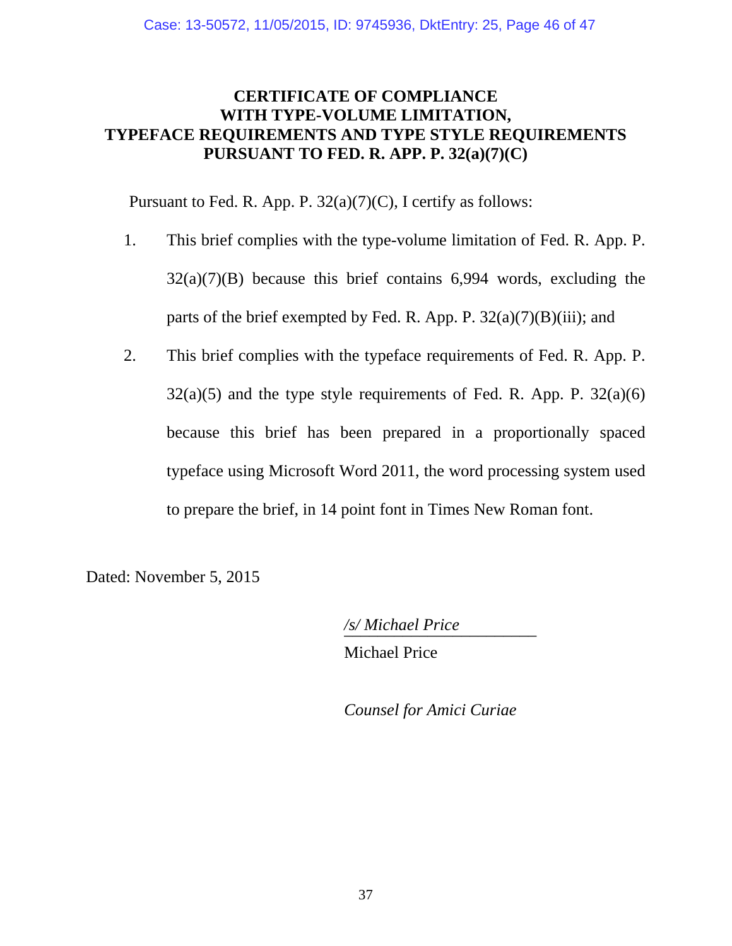## **CERTIFICATE OF COMPLIANCE WITH TYPE-VOLUME LIMITATION, TYPEFACE REQUIREMENTS AND TYPE STYLE REQUIREMENTS PURSUANT TO FED. R. APP. P. 32(a)(7)(C)**

Pursuant to Fed. R. App. P.  $32(a)(7)(C)$ , I certify as follows:

- 1. This brief complies with the type-volume limitation of Fed. R. App. P.  $32(a)(7)(B)$  because this brief contains 6,994 words, excluding the parts of the brief exempted by Fed. R. App. P.  $32(a)(7)(B)(iii)$ ; and
- 2. This brief complies with the typeface requirements of Fed. R. App. P.  $32(a)(5)$  and the type style requirements of Fed. R. App. P.  $32(a)(6)$ because this brief has been prepared in a proportionally spaced typeface using Microsoft Word 2011, the word processing system used to prepare the brief, in 14 point font in Times New Roman font.

Dated: November 5, 2015

 */s/ Michael Price \_\_\_\_\_\_\_\_\_\_\_\_\_\_\_\_\_\_\_\_\_\_\_*  Michael Price

*Counsel for Amici Curiae*